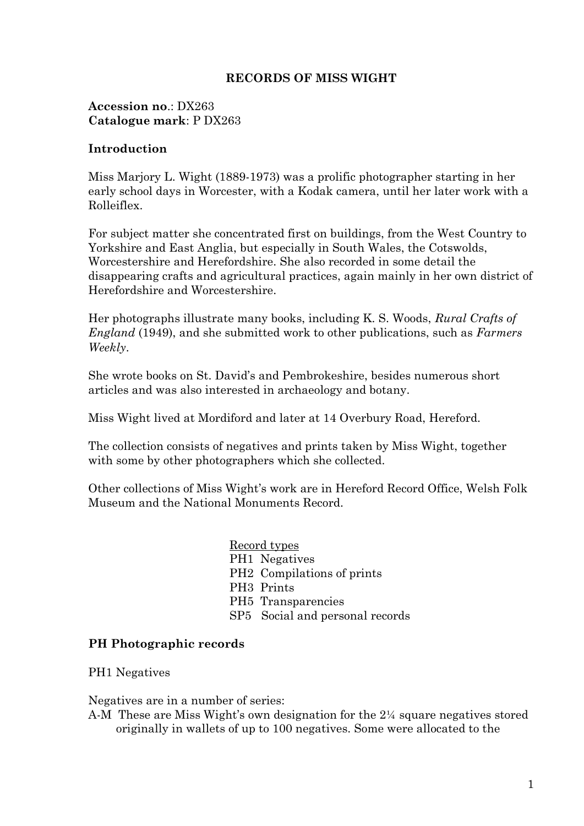# **RECORDS OF MISS WIGHT**

**Accession no**.: DX263 **Catalogue mark**: P DX263

# **Introduction**

Miss Marjory L. Wight (1889-1973) was a prolific photographer starting in her early school days in Worcester, with a Kodak camera, until her later work with a Rolleiflex.

For subject matter she concentrated first on buildings, from the West Country to Yorkshire and East Anglia, but especially in South Wales, the Cotswolds, Worcestershire and Herefordshire. She also recorded in some detail the disappearing crafts and agricultural practices, again mainly in her own district of Herefordshire and Worcestershire.

Her photographs illustrate many books, including K. S. Woods, *Rural Crafts of England* (1949), and she submitted work to other publications, such as *Farmers Weekly*.

She wrote books on St. David's and Pembrokeshire, besides numerous short articles and was also interested in archaeology and botany.

Miss Wight lived at Mordiford and later at 14 Overbury Road, Hereford.

The collection consists of negatives and prints taken by Miss Wight, together with some by other photographers which she collected.

Other collections of Miss Wight's work are in Hereford Record Office, Welsh Folk Museum and the National Monuments Record.

> Record types PH1 Negatives PH2 Compilations of prints PH3 Prints PH5 Transparencies SP5 Social and personal records

# **PH Photographic records**

PH1 Negatives

Negatives are in a number of series:

A-M These are Miss Wight's own designation for the 2¼ square negatives stored originally in wallets of up to 100 negatives. Some were allocated to the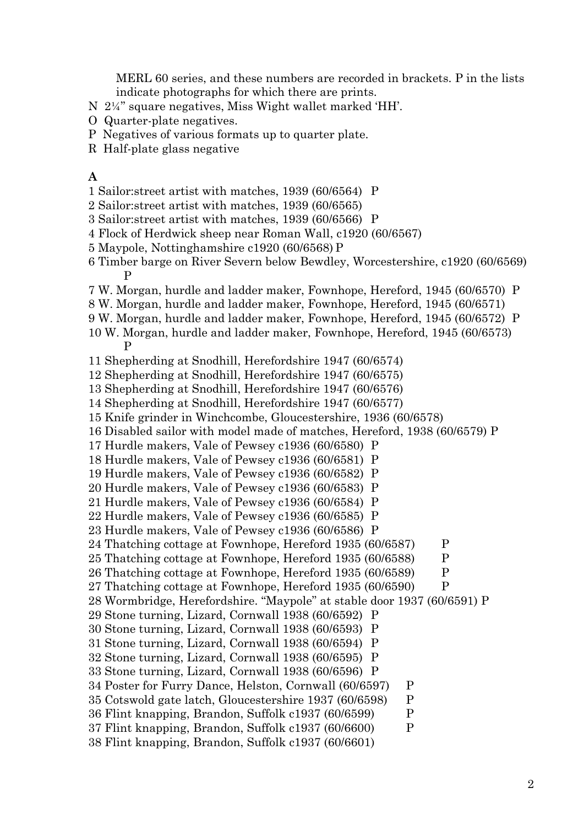MERL 60 series, and these numbers are recorded in brackets. P in the lists indicate photographs for which there are prints.

- N 2¼" square negatives, Miss Wight wallet marked 'HH'.
- O Quarter-plate negatives.
- P Negatives of various formats up to quarter plate.
- R Half-plate glass negative

### **A**

- 1 Sailor:street artist with matches, 1939 (60/6564) P
- 2 Sailor:street artist with matches, 1939 (60/6565)
- 3 Sailor:street artist with matches, 1939 (60/6566) P
- 4 Flock of Herdwick sheep near Roman Wall, c1920 (60/6567)
- 5 Maypole, Nottinghamshire c1920 (60/6568) P
- 6 Timber barge on River Severn below Bewdley, Worcestershire, c1920 (60/6569) P
- 7 W. Morgan, hurdle and ladder maker, Fownhope, Hereford, 1945 (60/6570) P
- 8 W. Morgan, hurdle and ladder maker, Fownhope, Hereford, 1945 (60/6571)
- 9 W. Morgan, hurdle and ladder maker, Fownhope, Hereford, 1945 (60/6572) P
- 10 W. Morgan, hurdle and ladder maker, Fownhope, Hereford, 1945 (60/6573) P
- 11 Shepherding at Snodhill, Herefordshire 1947 (60/6574)
- 12 Shepherding at Snodhill, Herefordshire 1947 (60/6575)
- 13 Shepherding at Snodhill, Herefordshire 1947 (60/6576)
- 14 Shepherding at Snodhill, Herefordshire 1947 (60/6577)
- 15 Knife grinder in Winchcombe, Gloucestershire, 1936 (60/6578)
- 16 Disabled sailor with model made of matches, Hereford, 1938 (60/6579) P
- 17 Hurdle makers, Vale of Pewsey c1936 (60/6580) P
- 18 Hurdle makers, Vale of Pewsey c1936 (60/6581) P
- 19 Hurdle makers, Vale of Pewsey c1936 (60/6582) P
- 20 Hurdle makers, Vale of Pewsey c1936 (60/6583) P
- 21 Hurdle makers, Vale of Pewsey c1936 (60/6584) P
- 22 Hurdle makers, Vale of Pewsey c1936 (60/6585) P
- 23 Hurdle makers, Vale of Pewsey c1936 (60/6586) P
- 24 Thatching cottage at Fownhope, Hereford 1935 (60/6587) P
- 25 Thatching cottage at Fownhope, Hereford 1935 (60/6588) P
- 26 Thatching cottage at Fownhope, Hereford 1935 (60/6589) P
- 27 Thatching cottage at Fownhope, Hereford 1935 (60/6590) P
- 28 Wormbridge, Herefordshire. "Maypole" at stable door 1937 (60/6591) P
- 29 Stone turning, Lizard, Cornwall 1938 (60/6592) P
- 30 Stone turning, Lizard, Cornwall 1938 (60/6593) P
- 31 Stone turning, Lizard, Cornwall 1938 (60/6594) P
- 32 Stone turning, Lizard, Cornwall 1938 (60/6595) P
- 33 Stone turning, Lizard, Cornwall 1938 (60/6596) P
- 34 Poster for Furry Dance, Helston, Cornwall (60/6597) P
- 35 Cotswold gate latch, Gloucestershire 1937 (60/6598) P
- 36 Flint knapping, Brandon, Suffolk c1937 (60/6599) P
- 37 Flint knapping, Brandon, Suffolk c1937 (60/6600) P
- 38 Flint knapping, Brandon, Suffolk c1937 (60/6601)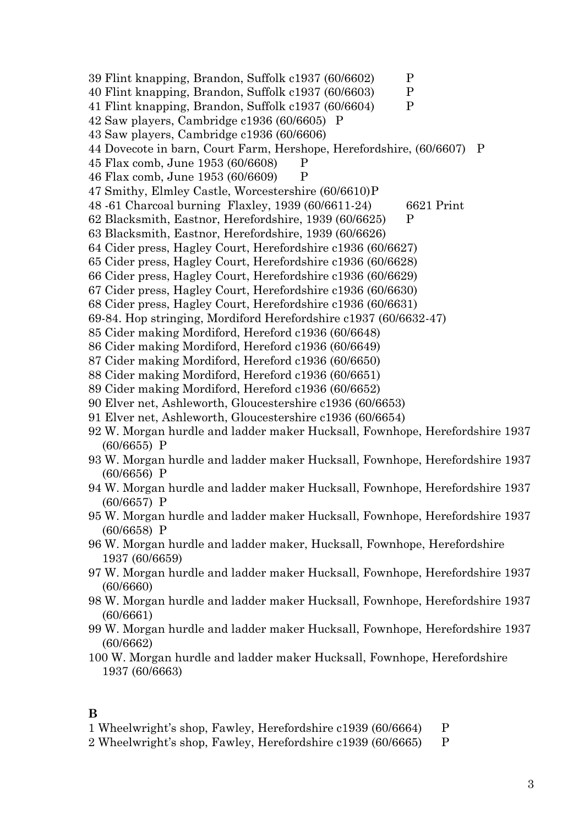- 39 Flint knapping, Brandon, Suffolk c1937 (60/6602) P 40 Flint knapping, Brandon, Suffolk c1937 (60/6603) P 41 Flint knapping, Brandon, Suffolk c1937 (60/6604) P 42 Saw players, Cambridge c1936 (60/6605) P 43 Saw players, Cambridge c1936 (60/6606) 44 Dovecote in barn, Court Farm, Hershope, Herefordshire, (60/6607) P 45 Flax comb, June 1953 (60/6608) P 46 Flax comb, June 1953 (60/6609) P 47 Smithy, Elmley Castle, Worcestershire (60/6610)P 48 -61 Charcoal burning Flaxley, 1939 (60/6611-24) 6621 Print 62 Blacksmith, Eastnor, Herefordshire, 1939 (60/6625) P 63 Blacksmith, Eastnor, Herefordshire, 1939 (60/6626) 64 Cider press, Hagley Court, Herefordshire c1936 (60/6627) 65 Cider press, Hagley Court, Herefordshire c1936 (60/6628) 66 Cider press, Hagley Court, Herefordshire c1936 (60/6629) 67 Cider press, Hagley Court, Herefordshire c1936 (60/6630) 68 Cider press, Hagley Court, Herefordshire c1936 (60/6631) 69-84. Hop stringing, Mordiford Herefordshire c1937 (60/6632-47) 85 Cider making Mordiford, Hereford c1936 (60/6648) 86 Cider making Mordiford, Hereford c1936 (60/6649) 87 Cider making Mordiford, Hereford c1936 (60/6650) 88 Cider making Mordiford, Hereford c1936 (60/6651) 89 Cider making Mordiford, Hereford c1936 (60/6652) 90 Elver net, Ashleworth, Gloucestershire c1936 (60/6653) 91 Elver net, Ashleworth, Gloucestershire c1936 (60/6654) 92 W. Morgan hurdle and ladder maker Hucksall, Fownhope, Herefordshire 1937 (60/6655) P 93 W. Morgan hurdle and ladder maker Hucksall, Fownhope, Herefordshire 1937 (60/6656) P 94 W. Morgan hurdle and ladder maker Hucksall, Fownhope, Herefordshire 1937 (60/6657) P 95 W. Morgan hurdle and ladder maker Hucksall, Fownhope, Herefordshire 1937 (60/6658) P 96 W. Morgan hurdle and ladder maker, Hucksall, Fownhope, Herefordshire 1937 (60/6659)
- 97 W. Morgan hurdle and ladder maker Hucksall, Fownhope, Herefordshire 1937 (60/6660)
- 98 W. Morgan hurdle and ladder maker Hucksall, Fownhope, Herefordshire 1937 (60/6661)
- 99 W. Morgan hurdle and ladder maker Hucksall, Fownhope, Herefordshire 1937 (60/6662)

100 W. Morgan hurdle and ladder maker Hucksall, Fownhope, Herefordshire 1937 (60/6663)

## **B**

- 1 Wheelwright's shop, Fawley, Herefordshire c1939 (60/6664) P
- 2 Wheelwright's shop, Fawley, Herefordshire c1939 (60/6665) P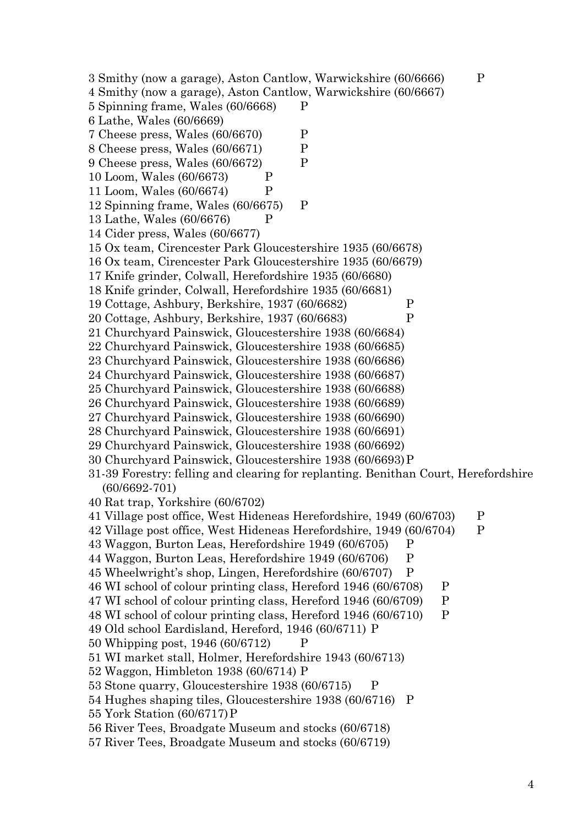3 Smithy (now a garage), Aston Cantlow, Warwickshire (60/6666) P 4 Smithy (now a garage), Aston Cantlow, Warwickshire (60/6667) 5 Spinning frame, Wales (60/6668) P 6 Lathe, Wales (60/6669) 7 Cheese press, Wales (60/6670) P 8 Cheese press, Wales (60/6671) P 9 Cheese press, Wales (60/6672) P 10 Loom, Wales (60/6673) P 11 Loom, Wales (60/6674) P 12 Spinning frame, Wales (60/6675) P 13 Lathe, Wales (60/6676) P 14 Cider press, Wales (60/6677) 15 Ox team, Cirencester Park Gloucestershire 1935 (60/6678) 16 Ox team, Cirencester Park Gloucestershire 1935 (60/6679) 17 Knife grinder, Colwall, Herefordshire 1935 (60/6680) 18 Knife grinder, Colwall, Herefordshire 1935 (60/6681) 19 Cottage, Ashbury, Berkshire, 1937 (60/6682) P 20 Cottage, Ashbury, Berkshire, 1937 (60/6683) P 21 Churchyard Painswick, Gloucestershire 1938 (60/6684) 22 Churchyard Painswick, Gloucestershire 1938 (60/6685) 23 Churchyard Painswick, Gloucestershire 1938 (60/6686) 24 Churchyard Painswick, Gloucestershire 1938 (60/6687) 25 Churchyard Painswick, Gloucestershire 1938 (60/6688) 26 Churchyard Painswick, Gloucestershire 1938 (60/6689) 27 Churchyard Painswick, Gloucestershire 1938 (60/6690) 28 Churchyard Painswick, Gloucestershire 1938 (60/6691) 29 Churchyard Painswick, Gloucestershire 1938 (60/6692) 30 Churchyard Painswick, Gloucestershire 1938 (60/6693)P 31-39 Forestry: felling and clearing for replanting. Benithan Court, Herefordshire (60/6692-701) 40 Rat trap, Yorkshire (60/6702) 41 Village post office, West Hideneas Herefordshire, 1949 (60/6703) P 42 Village post office, West Hideneas Herefordshire, 1949 (60/6704) P 43 Waggon, Burton Leas, Herefordshire 1949 (60/6705) P 44 Waggon, Burton Leas, Herefordshire 1949 (60/6706) P 45 Wheelwright's shop, Lingen, Herefordshire (60/6707) P 46 WI school of colour printing class, Hereford 1946 (60/6708) P 47 WI school of colour printing class, Hereford 1946 (60/6709) P 48 WI school of colour printing class, Hereford 1946 (60/6710) P 49 Old school Eardisland, Hereford, 1946 (60/6711) P 50 Whipping post, 1946 (60/6712) P 51 WI market stall, Holmer, Herefordshire 1943 (60/6713) 52 Waggon, Himbleton 1938 (60/6714) P 53 Stone quarry, Gloucestershire 1938 (60/6715) P 54 Hughes shaping tiles, Gloucestershire 1938 (60/6716) P 55 York Station (60/6717)P 56 River Tees, Broadgate Museum and stocks (60/6718) 57 River Tees, Broadgate Museum and stocks (60/6719)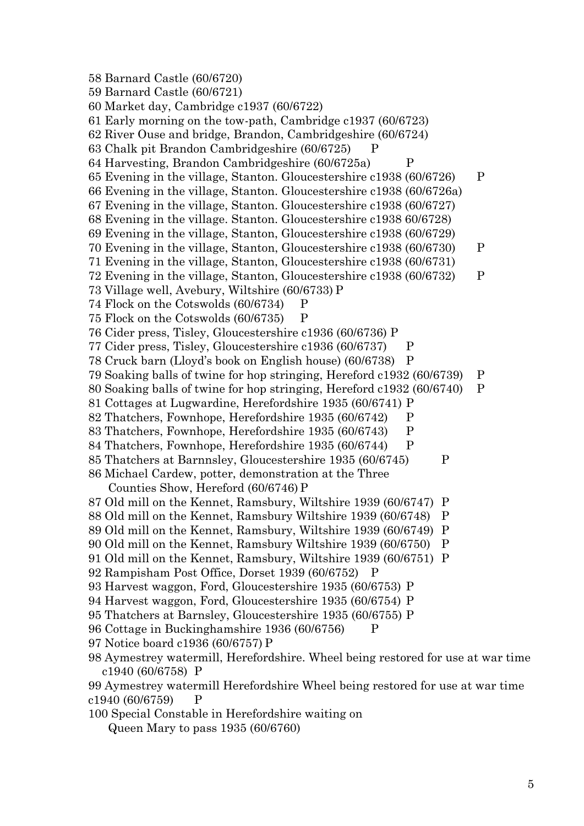58 Barnard Castle (60/6720) 59 Barnard Castle (60/6721) 60 Market day, Cambridge c1937 (60/6722) 61 Early morning on the tow-path, Cambridge c1937 (60/6723) 62 River Ouse and bridge, Brandon, Cambridgeshire (60/6724) 63 Chalk pit Brandon Cambridgeshire (60/6725) P 64 Harvesting, Brandon Cambridgeshire (60/6725a) P 65 Evening in the village, Stanton. Gloucestershire c1938 (60/6726) P 66 Evening in the village, Stanton. Gloucestershire c1938 (60/6726a) 67 Evening in the village, Stanton. Gloucestershire c1938 (60/6727) 68 Evening in the village. Stanton. Gloucestershire c1938 60/6728) 69 Evening in the village, Stanton, Gloucestershire c1938 (60/6729) 70 Evening in the village, Stanton, Gloucestershire c1938 (60/6730) P 71 Evening in the village, Stanton, Gloucestershire c1938 (60/6731) 72 Evening in the village, Stanton, Gloucestershire c1938 (60/6732) P 73 Village well, Avebury, Wiltshire (60/6733) P 74 Flock on the Cotswolds (60/6734) P 75 Flock on the Cotswolds (60/6735) P 76 Cider press, Tisley, Gloucestershire c1936 (60/6736) P 77 Cider press, Tisley, Gloucestershire c1936 (60/6737) P 78 Cruck barn (Lloyd's book on English house) (60/6738) P 79 Soaking balls of twine for hop stringing, Hereford c1932 (60/6739) P 80 Soaking balls of twine for hop stringing, Hereford c1932 (60/6740) P 81 Cottages at Lugwardine, Herefordshire 1935 (60/6741) P 82 Thatchers, Fownhope, Herefordshire 1935 (60/6742) P 83 Thatchers, Fownhope, Herefordshire 1935 (60/6743) P 84 Thatchers, Fownhope, Herefordshire 1935 (60/6744) P 85 Thatchers at Barnnsley, Gloucestershire 1935 (60/6745) P 86 Michael Cardew, potter, demonstration at the Three Counties Show, Hereford (60/6746) P 87 Old mill on the Kennet, Ramsbury, Wiltshire 1939 (60/6747) P 88 Old mill on the Kennet, Ramsbury Wiltshire 1939 (60/6748) P 89 Old mill on the Kennet, Ramsbury, Wiltshire 1939 (60/6749) P 90 Old mill on the Kennet, Ramsbury Wiltshire 1939 (60/6750) P 91 Old mill on the Kennet, Ramsbury, Wiltshire 1939 (60/6751) P 92 Rampisham Post Office, Dorset 1939 (60/6752) P 93 Harvest waggon, Ford, Gloucestershire 1935 (60/6753) P 94 Harvest waggon, Ford, Gloucestershire 1935 (60/6754) P 95 Thatchers at Barnsley, Gloucestershire 1935 (60/6755) P 96 Cottage in Buckinghamshire 1936 (60/6756) P 97 Notice board c1936 (60/6757) P 98 Aymestrey watermill, Herefordshire. Wheel being restored for use at war time c1940 (60/6758) P 99 Aymestrey watermill Herefordshire Wheel being restored for use at war time  $c1940 (60/6759)$  P 100 Special Constable in Herefordshire waiting on

Queen Mary to pass 1935 (60/6760)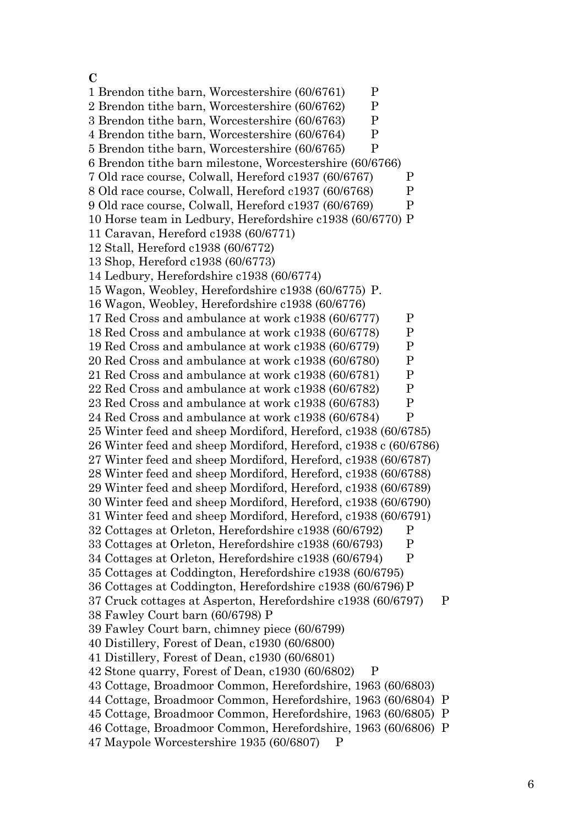## **C**

1 Brendon tithe barn, Worcestershire (60/6761) P 2 Brendon tithe barn, Worcestershire (60/6762) P 3 Brendon tithe barn, Worcestershire (60/6763) P 4 Brendon tithe barn, Worcestershire (60/6764) P 5 Brendon tithe barn, Worcestershire (60/6765) P 6 Brendon tithe barn milestone, Worcestershire (60/6766) 7 Old race course, Colwall, Hereford c1937 (60/6767) P 8 Old race course, Colwall, Hereford c1937 (60/6768) P 9 Old race course, Colwall, Hereford c1937 (60/6769) P 10 Horse team in Ledbury, Herefordshire c1938 (60/6770) P 11 Caravan, Hereford c1938 (60/6771) 12 Stall, Hereford c1938 (60/6772) 13 Shop, Hereford c1938 (60/6773) 14 Ledbury, Herefordshire c1938 (60/6774) 15 Wagon, Weobley, Herefordshire c1938 (60/6775) P. 16 Wagon, Weobley, Herefordshire c1938 (60/6776) 17 Red Cross and ambulance at work c1938 (60/6777) P 18 Red Cross and ambulance at work c1938 (60/6778) P 19 Red Cross and ambulance at work c1938 (60/6779) P 20 Red Cross and ambulance at work c1938 (60/6780) P 21 Red Cross and ambulance at work c1938 (60/6781) P 22 Red Cross and ambulance at work c1938 (60/6782) P 23 Red Cross and ambulance at work c1938 (60/6783) P 24 Red Cross and ambulance at work c1938 (60/6784) P 25 Winter feed and sheep Mordiford, Hereford, c1938 (60/6785) 26 Winter feed and sheep Mordiford, Hereford, c1938 c (60/6786) 27 Winter feed and sheep Mordiford, Hereford, c1938 (60/6787) 28 Winter feed and sheep Mordiford, Hereford, c1938 (60/6788) 29 Winter feed and sheep Mordiford, Hereford, c1938 (60/6789) 30 Winter feed and sheep Mordiford, Hereford, c1938 (60/6790) 31 Winter feed and sheep Mordiford, Hereford, c1938 (60/6791) 32 Cottages at Orleton, Herefordshire c1938 (60/6792) P 33 Cottages at Orleton, Herefordshire c1938 (60/6793) P 34 Cottages at Orleton, Herefordshire c1938 (60/6794) P 35 Cottages at Coddington, Herefordshire c1938 (60/6795) 36 Cottages at Coddington, Herefordshire c1938 (60/6796)P 37 Cruck cottages at Asperton, Herefordshire c1938 (60/6797) P 38 Fawley Court barn (60/6798) P 39 Fawley Court barn, chimney piece (60/6799) 40 Distillery, Forest of Dean, c1930 (60/6800) 41 Distillery, Forest of Dean, c1930 (60/6801) 42 Stone quarry, Forest of Dean, c1930 (60/6802) P 43 Cottage, Broadmoor Common, Herefordshire, 1963 (60/6803) 44 Cottage, Broadmoor Common, Herefordshire, 1963 (60/6804) P 45 Cottage, Broadmoor Common, Herefordshire, 1963 (60/6805) P 46 Cottage, Broadmoor Common, Herefordshire, 1963 (60/6806) P

47 Maypole Worcestershire 1935 (60/6807) P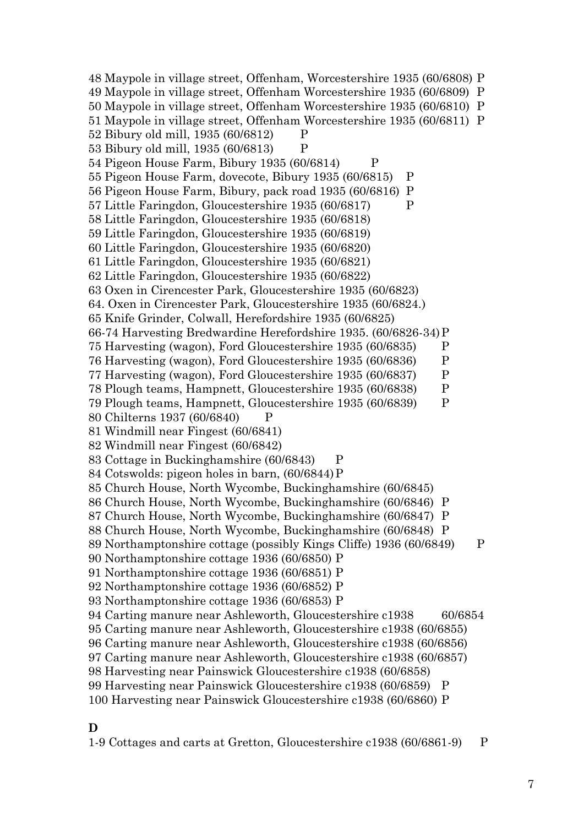48 Maypole in village street, Offenham, Worcestershire 1935 (60/6808) P 49 Maypole in village street, Offenham Worcestershire 1935 (60/6809) P 50 Maypole in village street, Offenham Worcestershire 1935 (60/6810) P 51 Maypole in village street, Offenham Worcestershire 1935 (60/6811) P 52 Bibury old mill, 1935 (60/6812) P 53 Bibury old mill, 1935 (60/6813) P 54 Pigeon House Farm, Bibury 1935 (60/6814) P 55 Pigeon House Farm, dovecote, Bibury 1935 (60/6815) P 56 Pigeon House Farm, Bibury, pack road 1935 (60/6816) P 57 Little Faringdon, Gloucestershire 1935 (60/6817) P 58 Little Faringdon, Gloucestershire 1935 (60/6818) 59 Little Faringdon, Gloucestershire 1935 (60/6819) 60 Little Faringdon, Gloucestershire 1935 (60/6820) 61 Little Faringdon, Gloucestershire 1935 (60/6821) 62 Little Faringdon, Gloucestershire 1935 (60/6822) 63 Oxen in Cirencester Park, Gloucestershire 1935 (60/6823) 64. Oxen in Cirencester Park, Gloucestershire 1935 (60/6824.) 65 Knife Grinder, Colwall, Herefordshire 1935 (60/6825) 66-74 Harvesting Bredwardine Herefordshire 1935. (60/6826-34)P 75 Harvesting (wagon), Ford Gloucestershire 1935 (60/6835) P 76 Harvesting (wagon), Ford Gloucestershire 1935 (60/6836) P 77 Harvesting (wagon), Ford Gloucestershire 1935 (60/6837) P 78 Plough teams, Hampnett, Gloucestershire 1935 (60/6838) P 79 Plough teams, Hampnett, Gloucestershire 1935 (60/6839) P 80 Chilterns 1937 (60/6840) P 81 Windmill near Fingest (60/6841) 82 Windmill near Fingest (60/6842) 83 Cottage in Buckinghamshire (60/6843) P 84 Cotswolds: pigeon holes in barn, (60/6844)P 85 Church House, North Wycombe, Buckinghamshire (60/6845) 86 Church House, North Wycombe, Buckinghamshire (60/6846) P 87 Church House, North Wycombe, Buckinghamshire (60/6847) P 88 Church House, North Wycombe, Buckinghamshire (60/6848) P 89 Northamptonshire cottage (possibly Kings Cliffe) 1936 (60/6849) P 90 Northamptonshire cottage 1936 (60/6850) P 91 Northamptonshire cottage 1936 (60/6851) P 92 Northamptonshire cottage 1936 (60/6852) P 93 Northamptonshire cottage 1936 (60/6853) P 94 Carting manure near Ashleworth, Gloucestershire c1938 60/6854 95 Carting manure near Ashleworth, Gloucestershire c1938 (60/6855) 96 Carting manure near Ashleworth, Gloucestershire c1938 (60/6856) 97 Carting manure near Ashleworth, Gloucestershire c1938 (60/6857) 98 Harvesting near Painswick Gloucestershire c1938 (60/6858) 99 Harvesting near Painswick Gloucestershire c1938 (60/6859) P 100 Harvesting near Painswick Gloucestershire c1938 (60/6860) P

#### **D**

1-9 Cottages and carts at Gretton, Gloucestershire c1938 (60/6861-9) P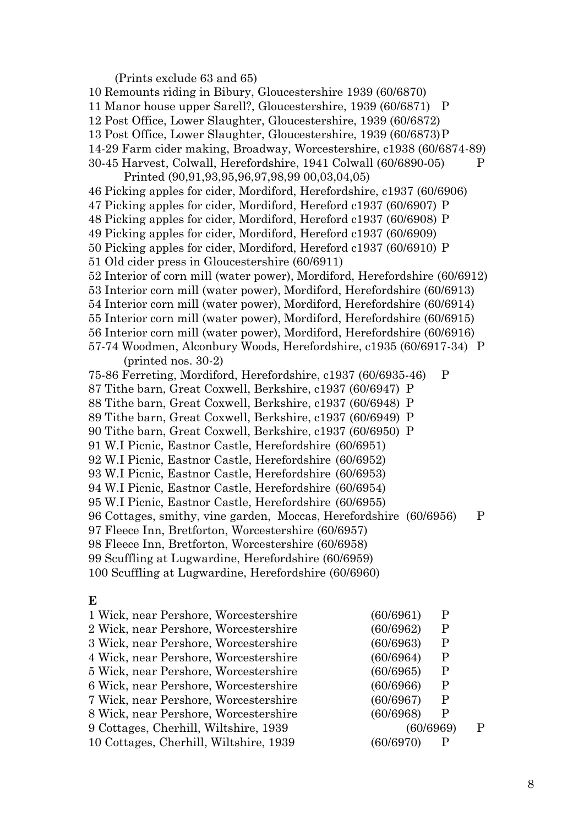(Prints exclude 63 and 65) 10 Remounts riding in Bibury, Gloucestershire 1939 (60/6870) 11 Manor house upper Sarell?, Gloucestershire, 1939 (60/6871) P 12 Post Office, Lower Slaughter, Gloucestershire, 1939 (60/6872) 13 Post Office, Lower Slaughter, Gloucestershire, 1939 (60/6873)P 14-29 Farm cider making, Broadway, Worcestershire, c1938 (60/6874-89) 30-45 Harvest, Colwall, Herefordshire, 1941 Colwall (60/6890-05) P Printed (90,91,93,95,96,97,98,99 00,03,04,05) 46 Picking apples for cider, Mordiford, Herefordshire, c1937 (60/6906) 47 Picking apples for cider, Mordiford, Hereford c1937 (60/6907) P 48 Picking apples for cider, Mordiford, Hereford c1937 (60/6908) P 49 Picking apples for cider, Mordiford, Hereford c1937 (60/6909) 50 Picking apples for cider, Mordiford, Hereford c1937 (60/6910) P 51 Old cider press in Gloucestershire (60/6911) 52 Interior of corn mill (water power), Mordiford, Herefordshire (60/6912) 53 Interior corn mill (water power), Mordiford, Herefordshire (60/6913) 54 Interior corn mill (water power), Mordiford, Herefordshire (60/6914) 55 Interior corn mill (water power), Mordiford, Herefordshire (60/6915) 56 Interior corn mill (water power), Mordiford, Herefordshire (60/6916) 57-74 Woodmen, Alconbury Woods, Herefordshire, c1935 (60/6917-34) P (printed nos. 30-2) 75-86 Ferreting, Mordiford, Herefordshire, c1937 (60/6935-46) P 87 Tithe barn, Great Coxwell, Berkshire, c1937 (60/6947) P 88 Tithe barn, Great Coxwell, Berkshire, c1937 (60/6948) P 89 Tithe barn, Great Coxwell, Berkshire, c1937 (60/6949) P 90 Tithe barn, Great Coxwell, Berkshire, c1937 (60/6950) P 91 W.I Picnic, Eastnor Castle, Herefordshire (60/6951) 92 W.I Picnic, Eastnor Castle, Herefordshire (60/6952) 93 W.I Picnic, Eastnor Castle, Herefordshire (60/6953) 94 W.I Picnic, Eastnor Castle, Herefordshire (60/6954) 95 W.I Picnic, Eastnor Castle, Herefordshire (60/6955) 96 Cottages, smithy, vine garden, Moccas, Herefordshire (60/6956) P 97 Fleece Inn, Bretforton, Worcestershire (60/6957) 98 Fleece Inn, Bretforton, Worcestershire (60/6958) 99 Scuffling at Lugwardine, Herefordshire (60/6959) 100 Scuffling at Lugwardine, Herefordshire (60/6960) **E**

| 1 Wick, near Pershore, Worcestershire  | (60/6961)<br>P |   |
|----------------------------------------|----------------|---|
| 2 Wick, near Pershore, Worcestershire  | (60/6962)<br>P |   |
| 3 Wick, near Pershore, Worcestershire  | (60/6963)<br>P |   |
| 4 Wick, near Pershore, Worcestershire  | (60/6964)<br>P |   |
| 5 Wick, near Pershore, Worcestershire  | (60/6965)<br>P |   |
| 6 Wick, near Pershore, Worcestershire  | (60/6966)<br>P |   |
| 7 Wick, near Pershore, Worcestershire  | (60/6967)<br>P |   |
| 8 Wick, near Pershore, Worcestershire  | (60/6968)<br>P |   |
| 9 Cottages, Cherhill, Wiltshire, 1939  | (60/6969)      | P |
| 10 Cottages, Cherhill, Wiltshire, 1939 | (60/6970)      |   |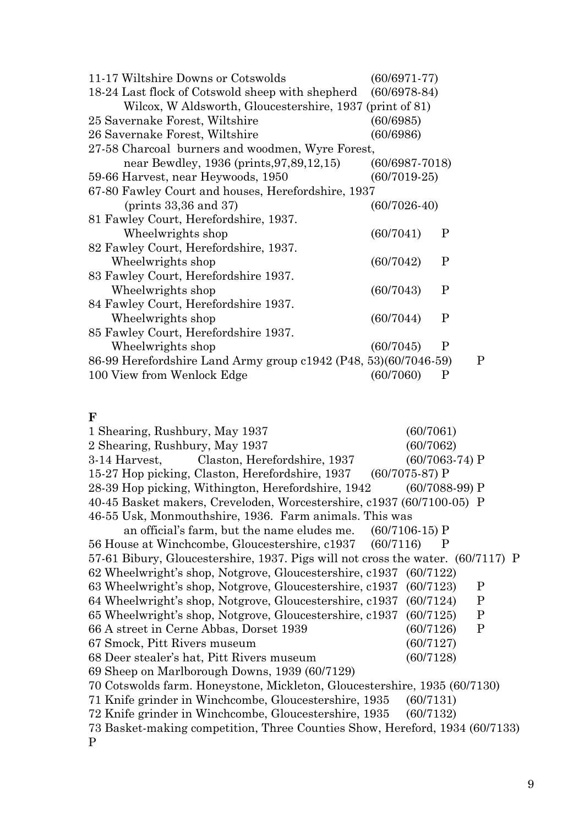| 11-17 Wiltshire Downs or Cotswolds                              | $(60/6971-77)$     |             |  |
|-----------------------------------------------------------------|--------------------|-------------|--|
| 18-24 Last flock of Cotswold sheep with shepherd (60/6978-84)   |                    |             |  |
| Wilcox, W Aldsworth, Gloucestershire, 1937 (print of 81)        |                    |             |  |
| 25 Savernake Forest, Wiltshire                                  | (60/6985)          |             |  |
| 26 Savernake Forest, Wiltshire                                  | (60/6986)          |             |  |
| 27-58 Charcoal burners and woodmen, Wyre Forest,                |                    |             |  |
| near Bewdley, 1936 (prints, 97, 89, 12, 15)                     | $(60/6987 - 7018)$ |             |  |
| 59-66 Harvest, near Heywoods, 1950                              | $(60/7019-25)$     |             |  |
| 67-80 Fawley Court and houses, Herefordshire, 1937              |                    |             |  |
| (prints 33,36 and 37)                                           | $(60/7026-40)$     |             |  |
| 81 Fawley Court, Herefordshire, 1937.                           |                    |             |  |
| Wheelwrights shop                                               | (60/7041)          | $\mathbf P$ |  |
| 82 Fawley Court, Herefordshire, 1937.                           |                    |             |  |
| Wheelwrights shop                                               | (60/7042)          | $\mathbf P$ |  |
| 83 Fawley Court, Herefordshire 1937.                            |                    |             |  |
| Wheelwrights shop                                               | (60/7043)          | P           |  |
| 84 Fawley Court, Herefordshire 1937.                            |                    |             |  |
| Wheelwrights shop                                               | (60/7044)          | P           |  |
| 85 Fawley Court, Herefordshire 1937.                            |                    |             |  |
| Wheelwrights shop                                               | (60/7045)          | P           |  |
| 86-99 Herefordshire Land Army group c1942 (P48, 53)(60/7046-59) |                    | P           |  |
| 100 View from Wenlock Edge                                      | (60/7060)          | P           |  |
|                                                                 |                    |             |  |

#### **F**

1 Shearing, Rushbury, May 1937 (60/7061) 2 Shearing, Rushbury, May 1937 (60/7062) 3-14 Harvest, Claston, Herefordshire, 1937 (60/7063-74) P 15-27 Hop picking, Claston, Herefordshire, 1937 (60/7075-87) P 28-39 Hop picking, Withington, Herefordshire, 1942 (60/7088-99) P 40-45 Basket makers, Creveloden, Worcestershire, c1937 (60/7100-05) P 46-55 Usk, Monmouthshire, 1936. Farm animals. This was an official's farm, but the name eludes me. (60/7106-15) P 56 House at Winchcombe, Gloucestershire, c1937 (60/7116) P 57-61 Bibury, Gloucestershire, 1937. Pigs will not cross the water. (60/7117) P 62 Wheelwright's shop, Notgrove, Gloucestershire, c1937 (60/7122) 63 Wheelwright's shop, Notgrove, Gloucestershire, c1937 (60/7123) P 64 Wheelwright's shop, Notgrove, Gloucestershire, c1937 (60/7124) P 65 Wheelwright's shop, Notgrove, Gloucestershire, c1937 (60/7125) P 66 A street in Cerne Abbas, Dorset 1939 (60/7126) P 67 Smock, Pitt Rivers museum (60/7127) 68 Deer stealer's hat, Pitt Rivers museum (60/7128) 69 Sheep on Marlborough Downs, 1939 (60/7129) 70 Cotswolds farm. Honeystone, Mickleton, Gloucestershire, 1935 (60/7130) 71 Knife grinder in Winchcombe, Gloucestershire, 1935 (60/7131) 72 Knife grinder in Winchcombe, Gloucestershire, 1935 (60/7132) 73 Basket-making competition, Three Counties Show, Hereford, 1934 (60/7133) P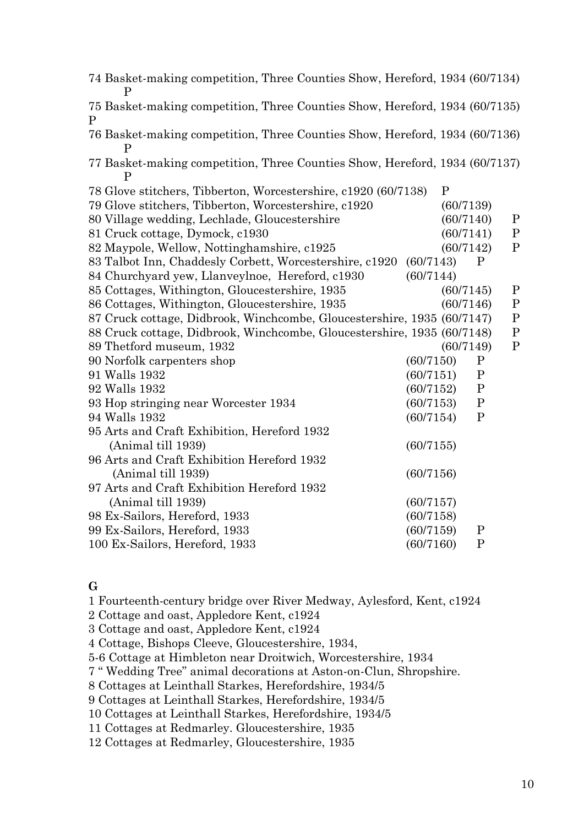| 74 Basket-making competition, Three Counties Show, Hereford, 1934 (60/7134)<br>P            |           |           |              |              |
|---------------------------------------------------------------------------------------------|-----------|-----------|--------------|--------------|
| 75 Basket-making competition, Three Counties Show, Hereford, 1934 (60/7135)<br>$\mathbf{P}$ |           |           |              |              |
| 76 Basket-making competition, Three Counties Show, Hereford, 1934 (60/7136)                 |           |           |              |              |
| 77 Basket-making competition, Three Counties Show, Hereford, 1934 (60/7137)<br>$\mathbf{P}$ |           |           |              |              |
| 78 Glove stitchers, Tibberton, Worcestershire, c1920 (60/7138)                              |           | P         |              |              |
| 79 Glove stitchers, Tibberton, Worcestershire, c1920                                        |           | (60/7139) |              |              |
| 80 Village wedding, Lechlade, Gloucestershire                                               |           | (60/7140) |              | $\mathbf{P}$ |
| 81 Cruck cottage, Dymock, c1930                                                             |           | (60/7141) |              | $\mathbf P$  |
| 82 Maypole, Wellow, Nottinghamshire, c1925                                                  |           | (60/7142) |              | $\mathbf{P}$ |
| 83 Talbot Inn, Chaddesly Corbett, Worcestershire, c1920                                     | (60/7143) |           | $\mathbf P$  |              |
| 84 Churchyard yew, Llanveylnoe, Hereford, c1930                                             | (60/7144) |           |              |              |
| 85 Cottages, Withington, Gloucestershire, 1935                                              |           | (60/7145) |              | $\mathbf{P}$ |
| 86 Cottages, Withington, Gloucestershire, 1935                                              |           | (60/7146) |              | $\mathbf{P}$ |
| 87 Cruck cottage, Didbrook, Winchcombe, Gloucestershire, 1935 (60/7147)                     |           |           |              | ${\bf P}$    |
| 88 Cruck cottage, Didbrook, Winchcombe, Gloucestershire, 1935 (60/7148)                     |           |           |              | $\mathbf P$  |
| 89 Thetford museum, 1932                                                                    |           | (60/7149) |              | $\mathbf P$  |
| 90 Norfolk carpenters shop                                                                  | (60/7150) |           | $\mathbf P$  |              |
| 91 Walls 1932                                                                               | (60/7151) |           | $\mathbf{P}$ |              |
| 92 Walls 1932                                                                               | (60/7152) |           | $\mathbf P$  |              |
| 93 Hop stringing near Worcester 1934                                                        | (60/7153) |           | $\mathbf{P}$ |              |
| 94 Walls 1932                                                                               | (60/7154) |           | $\mathbf{P}$ |              |
| 95 Arts and Craft Exhibition, Hereford 1932                                                 |           |           |              |              |
| (Animal till 1939)                                                                          | (60/7155) |           |              |              |
| 96 Arts and Craft Exhibition Hereford 1932                                                  |           |           |              |              |
| (Animal till 1939)                                                                          | (60/7156) |           |              |              |
| 97 Arts and Craft Exhibition Hereford 1932                                                  |           |           |              |              |
| (Animal till 1939)                                                                          | (60/7157) |           |              |              |
| 98 Ex-Sailors, Hereford, 1933                                                               | (60/7158) |           |              |              |
| 99 Ex-Sailors, Hereford, 1933                                                               | (60/7159) |           | $\mathbf{P}$ |              |
| 100 Ex-Sailors, Hereford, 1933                                                              | (60/7160) |           | $\mathbf{P}$ |              |

## **G**

1 Fourteenth-century bridge over River Medway, Aylesford, Kent, c1924

2 Cottage and oast, Appledore Kent, c1924

3 Cottage and oast, Appledore Kent, c1924

4 Cottage, Bishops Cleeve, Gloucestershire, 1934,

5-6 Cottage at Himbleton near Droitwich, Worcestershire, 1934

7 " Wedding Tree" animal decorations at Aston-on-Clun, Shropshire.

8 Cottages at Leinthall Starkes, Herefordshire, 1934/5

9 Cottages at Leinthall Starkes, Herefordshire, 1934/5

10 Cottages at Leinthall Starkes, Herefordshire, 1934/5

11 Cottages at Redmarley. Gloucestershire, 1935

12 Cottages at Redmarley, Gloucestershire, 1935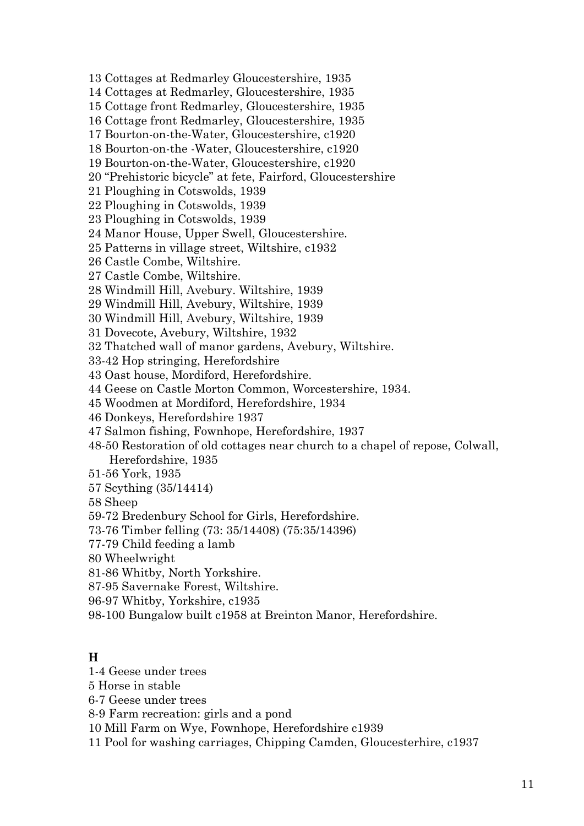- 13 Cottages at Redmarley Gloucestershire, 1935
- 14 Cottages at Redmarley, Gloucestershire, 1935
- 15 Cottage front Redmarley, Gloucestershire, 1935
- 16 Cottage front Redmarley, Gloucestershire, 1935
- 17 Bourton-on-the-Water, Gloucestershire, c1920
- 18 Bourton-on-the -Water, Gloucestershire, c1920
- 19 Bourton-on-the-Water, Gloucestershire, c1920
- 20 "Prehistoric bicycle" at fete, Fairford, Gloucestershire
- 21 Ploughing in Cotswolds, 1939
- 22 Ploughing in Cotswolds, 1939
- 23 Ploughing in Cotswolds, 1939
- 24 Manor House, Upper Swell, Gloucestershire.
- 25 Patterns in village street, Wiltshire, c1932
- 26 Castle Combe, Wiltshire.
- 27 Castle Combe, Wiltshire.
- 28 Windmill Hill, Avebury. Wiltshire, 1939
- 29 Windmill Hill, Avebury, Wiltshire, 1939
- 30 Windmill Hill, Avebury, Wiltshire, 1939
- 31 Dovecote, Avebury, Wiltshire, 1932
- 32 Thatched wall of manor gardens, Avebury, Wiltshire.
- 33-42 Hop stringing, Herefordshire
- 43 Oast house, Mordiford, Herefordshire.
- 44 Geese on Castle Morton Common, Worcestershire, 1934.
- 45 Woodmen at Mordiford, Herefordshire, 1934
- 46 Donkeys, Herefordshire 1937
- 47 Salmon fishing, Fownhope, Herefordshire, 1937
- 48-50 Restoration of old cottages near church to a chapel of repose, Colwall, Herefordshire, 1935
- 51-56 York, 1935
- 57 Scything (35/14414)
- 58 Sheep
- 59-72 Bredenbury School for Girls, Herefordshire.
- 73-76 Timber felling (73: 35/14408) (75:35/14396)
- 77-79 Child feeding a lamb
- 80 Wheelwright
- 81-86 Whitby, North Yorkshire.
- 87-95 Savernake Forest, Wiltshire.
- 96-97 Whitby, Yorkshire, c1935
- 98-100 Bungalow built c1958 at Breinton Manor, Herefordshire.

#### **H**

- 1-4 Geese under trees
- 5 Horse in stable
- 6-7 Geese under trees
- 8-9 Farm recreation: girls and a pond
- 10 Mill Farm on Wye, Fownhope, Herefordshire c1939
- 11 Pool for washing carriages, Chipping Camden, Gloucesterhire, c1937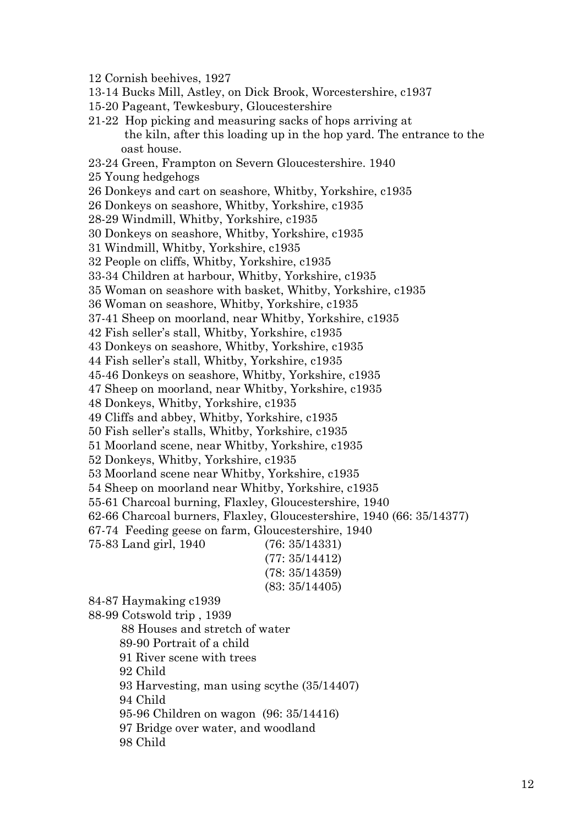- 12 Cornish beehives, 1927
- 13-14 Bucks Mill, Astley, on Dick Brook, Worcestershire, c1937
- 15-20 Pageant, Tewkesbury, Gloucestershire
- 21-22 Hop picking and measuring sacks of hops arriving at the kiln, after this loading up in the hop yard. The entrance to the oast house.
- 23-24 Green, Frampton on Severn Gloucestershire. 1940
- 25 Young hedgehogs
- 26 Donkeys and cart on seashore, Whitby, Yorkshire, c1935
- 26 Donkeys on seashore, Whitby, Yorkshire, c1935
- 28-29 Windmill, Whitby, Yorkshire, c1935
- 30 Donkeys on seashore, Whitby, Yorkshire, c1935
- 31 Windmill, Whitby, Yorkshire, c1935
- 32 People on cliffs, Whitby, Yorkshire, c1935
- 33-34 Children at harbour, Whitby, Yorkshire, c1935
- 35 Woman on seashore with basket, Whitby, Yorkshire, c1935
- 36 Woman on seashore, Whitby, Yorkshire, c1935
- 37-41 Sheep on moorland, near Whitby, Yorkshire, c1935
- 42 Fish seller's stall, Whitby, Yorkshire, c1935
- 43 Donkeys on seashore, Whitby, Yorkshire, c1935
- 44 Fish seller's stall, Whitby, Yorkshire, c1935
- 45-46 Donkeys on seashore, Whitby, Yorkshire, c1935
- 47 Sheep on moorland, near Whitby, Yorkshire, c1935
- 48 Donkeys, Whitby, Yorkshire, c1935
- 49 Cliffs and abbey, Whitby, Yorkshire, c1935
- 50 Fish seller's stalls, Whitby, Yorkshire, c1935
- 51 Moorland scene, near Whitby, Yorkshire, c1935
- 52 Donkeys, Whitby, Yorkshire, c1935
- 53 Moorland scene near Whitby, Yorkshire, c1935
- 54 Sheep on moorland near Whitby, Yorkshire, c1935
- 55-61 Charcoal burning, Flaxley, Gloucestershire, 1940
- 62-66 Charcoal burners, Flaxley, Gloucestershire, 1940 (66: 35/14377)
- 67-74 Feeding geese on farm, Gloucestershire, 1940
- 75-83 Land girl, 1940 (76: 35/14331)
	- (77: 35/14412) (78: 35/14359)

(83: 35/14405)

84-87 Haymaking c1939

- 88-99 Cotswold trip , 1939
	- 88 Houses and stretch of water
	- 89-90 Portrait of a child
	- 91 River scene with trees
	- 92 Child
	- 93 Harvesting, man using scythe (35/14407)
	- 94 Child
	- 95-96 Children on wagon (96: 35/14416)
	- 97 Bridge over water, and woodland
	- 98 Child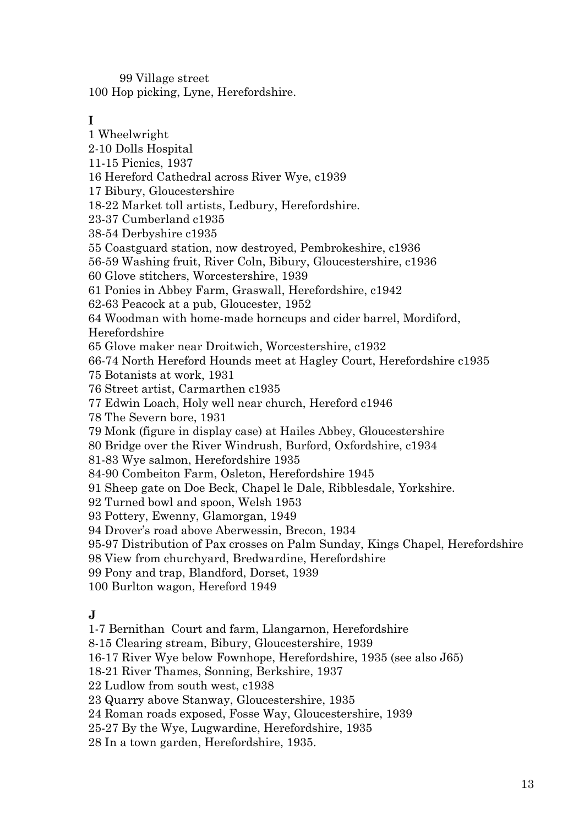99 Village street 100 Hop picking, Lyne, Herefordshire.

# **I**

1 Wheelwright 2-10 Dolls Hospital 11-15 Picnics, 1937 16 Hereford Cathedral across River Wye, c1939 17 Bibury, Gloucestershire 18-22 Market toll artists, Ledbury, Herefordshire. 23-37 Cumberland c1935 38-54 Derbyshire c1935 55 Coastguard station, now destroyed, Pembrokeshire, c1936 56-59 Washing fruit, River Coln, Bibury, Gloucestershire, c1936 60 Glove stitchers, Worcestershire, 1939 61 Ponies in Abbey Farm, Graswall, Herefordshire, c1942 62-63 Peacock at a pub, Gloucester, 1952 64 Woodman with home-made horncups and cider barrel, Mordiford, Herefordshire 65 Glove maker near Droitwich, Worcestershire, c1932 66-74 North Hereford Hounds meet at Hagley Court, Herefordshire c1935 75 Botanists at work, 1931 76 Street artist, Carmarthen c1935 77 Edwin Loach, Holy well near church, Hereford c1946 78 The Severn bore, 1931 79 Monk (figure in display case) at Hailes Abbey, Gloucestershire 80 Bridge over the River Windrush, Burford, Oxfordshire, c1934 81-83 Wye salmon, Herefordshire 1935 84-90 Combeiton Farm, Osleton, Herefordshire 1945 91 Sheep gate on Doe Beck, Chapel le Dale, Ribblesdale, Yorkshire. 92 Turned bowl and spoon, Welsh 1953 93 Pottery, Ewenny, Glamorgan, 1949 94 Drover's road above Aberwessin, Brecon, 1934 95-97 Distribution of Pax crosses on Palm Sunday, Kings Chapel, Herefordshire 98 View from churchyard, Bredwardine, Herefordshire 99 Pony and trap, Blandford, Dorset, 1939 100 Burlton wagon, Hereford 1949 **J** 1-7 Bernithan Court and farm, Llangarnon, Herefordshire

8-15 Clearing stream, Bibury, Gloucestershire, 1939

16-17 River Wye below Fownhope, Herefordshire, 1935 (see also J65)

- 18-21 River Thames, Sonning, Berkshire, 1937
- 22 Ludlow from south west, c1938
- 23 Quarry above Stanway, Gloucestershire, 1935
- 24 Roman roads exposed, Fosse Way, Gloucestershire, 1939
- 25-27 By the Wye, Lugwardine, Herefordshire, 1935
- 28 In a town garden, Herefordshire, 1935.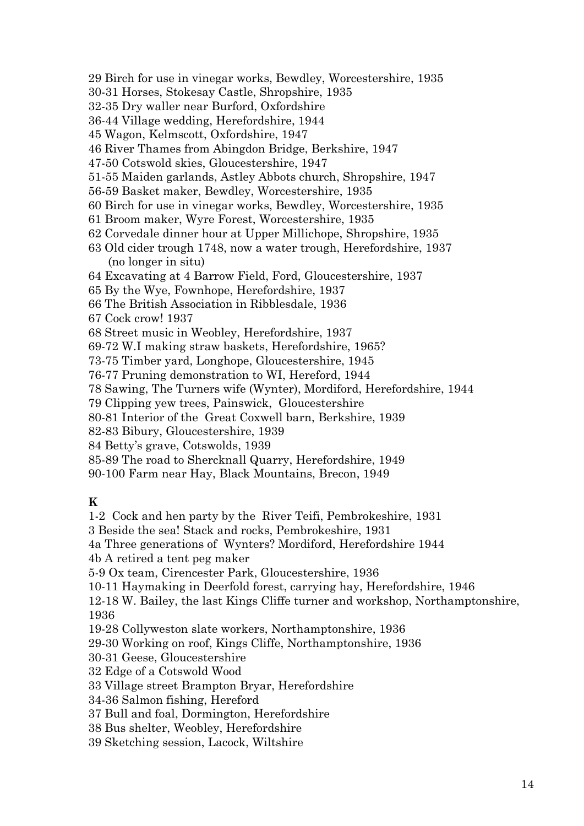- 29 Birch for use in vinegar works, Bewdley, Worcestershire, 1935
- 30-31 Horses, Stokesay Castle, Shropshire, 1935
- 32-35 Dry waller near Burford, Oxfordshire
- 36-44 Village wedding, Herefordshire, 1944
- 45 Wagon, Kelmscott, Oxfordshire, 1947
- 46 River Thames from Abingdon Bridge, Berkshire, 1947
- 47-50 Cotswold skies, Gloucestershire, 1947
- 51-55 Maiden garlands, Astley Abbots church, Shropshire, 1947
- 56-59 Basket maker, Bewdley, Worcestershire, 1935
- 60 Birch for use in vinegar works, Bewdley, Worcestershire, 1935
- 61 Broom maker, Wyre Forest, Worcestershire, 1935
- 62 Corvedale dinner hour at Upper Millichope, Shropshire, 1935
- 63 Old cider trough 1748, now a water trough, Herefordshire, 1937 (no longer in situ)
- 64 Excavating at 4 Barrow Field, Ford, Gloucestershire, 1937
- 65 By the Wye, Fownhope, Herefordshire, 1937
- 66 The British Association in Ribblesdale, 1936
- 67 Cock crow! 1937
- 68 Street music in Weobley, Herefordshire, 1937
- 69-72 W.I making straw baskets, Herefordshire, 1965?
- 73-75 Timber yard, Longhope, Gloucestershire, 1945
- 76-77 Pruning demonstration to WI, Hereford, 1944
- 78 Sawing, The Turners wife (Wynter), Mordiford, Herefordshire, 1944
- 79 Clipping yew trees, Painswick, Gloucestershire
- 80-81 Interior of the Great Coxwell barn, Berkshire, 1939
- 82-83 Bibury, Gloucestershire, 1939
- 84 Betty's grave, Cotswolds, 1939
- 85-89 The road to Shercknall Quarry, Herefordshire, 1949
- 90-100 Farm near Hay, Black Mountains, Brecon, 1949

#### **K**

1-2 Cock and hen party by the River Teifi, Pembrokeshire, 1931

3 Beside the sea! Stack and rocks, Pembrokeshire, 1931

4a Three generations of Wynters? Mordiford, Herefordshire 1944

4b A retired a tent peg maker

5-9 Ox team, Cirencester Park, Gloucestershire, 1936

10-11 Haymaking in Deerfold forest, carrying hay, Herefordshire, 1946

12-18 W. Bailey, the last Kings Cliffe turner and workshop, Northamptonshire, 1936

19-28 Collyweston slate workers, Northamptonshire, 1936

- 29-30 Working on roof, Kings Cliffe, Northamptonshire, 1936
- 30-31 Geese, Gloucestershire

32 Edge of a Cotswold Wood

33 Village street Brampton Bryar, Herefordshire

34-36 Salmon fishing, Hereford

37 Bull and foal, Dormington, Herefordshire

38 Bus shelter, Weobley, Herefordshire

39 Sketching session, Lacock, Wiltshire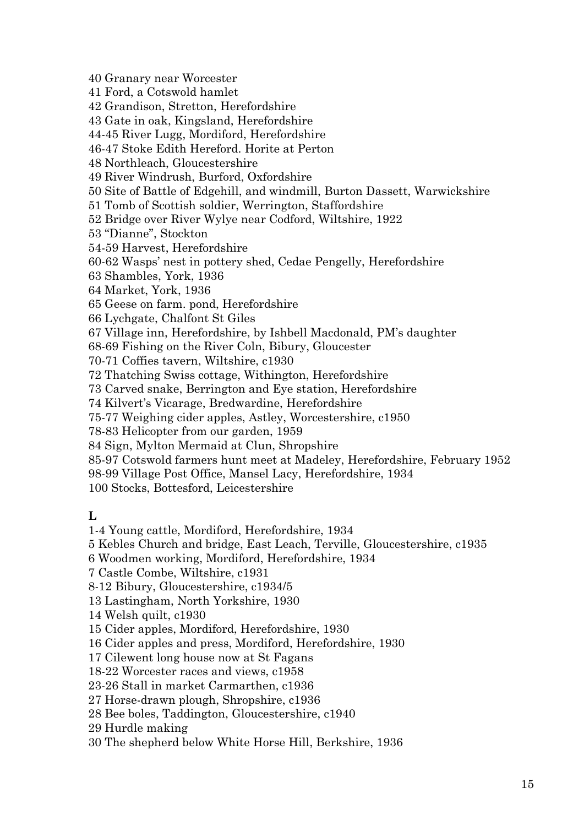40 Granary near Worcester

41 Ford, a Cotswold hamlet

42 Grandison, Stretton, Herefordshire

43 Gate in oak, Kingsland, Herefordshire

44-45 River Lugg, Mordiford, Herefordshire

46-47 Stoke Edith Hereford. Horite at Perton

48 Northleach, Gloucestershire

49 River Windrush, Burford, Oxfordshire

50 Site of Battle of Edgehill, and windmill, Burton Dassett, Warwickshire

51 Tomb of Scottish soldier, Werrington, Staffordshire

52 Bridge over River Wylye near Codford, Wiltshire, 1922

53 "Dianne", Stockton

54-59 Harvest, Herefordshire

60-62 Wasps' nest in pottery shed, Cedae Pengelly, Herefordshire

63 Shambles, York, 1936

64 Market, York, 1936

65 Geese on farm. pond, Herefordshire

66 Lychgate, Chalfont St Giles

67 Village inn, Herefordshire, by Ishbell Macdonald, PM's daughter

68-69 Fishing on the River Coln, Bibury, Gloucester

70-71 Coffies tavern, Wiltshire, c1930

72 Thatching Swiss cottage, Withington, Herefordshire

73 Carved snake, Berrington and Eye station, Herefordshire

74 Kilvert's Vicarage, Bredwardine, Herefordshire

75-77 Weighing cider apples, Astley, Worcestershire, c1950

78-83 Helicopter from our garden, 1959

84 Sign, Mylton Mermaid at Clun, Shropshire

85-97 Cotswold farmers hunt meet at Madeley, Herefordshire, February 1952

98-99 Village Post Office, Mansel Lacy, Herefordshire, 1934

100 Stocks, Bottesford, Leicestershire

**L**

1-4 Young cattle, Mordiford, Herefordshire, 1934

5 Kebles Church and bridge, East Leach, Terville, Gloucestershire, c1935

6 Woodmen working, Mordiford, Herefordshire, 1934

7 Castle Combe, Wiltshire, c1931

8-12 Bibury, Gloucestershire, c1934/5

13 Lastingham, North Yorkshire, 1930

14 Welsh quilt, c1930

15 Cider apples, Mordiford, Herefordshire, 1930

16 Cider apples and press, Mordiford, Herefordshire, 1930

17 Cilewent long house now at St Fagans

18-22 Worcester races and views, c1958

23-26 Stall in market Carmarthen, c1936

27 Horse-drawn plough, Shropshire, c1936

28 Bee boles, Taddington, Gloucestershire, c1940

29 Hurdle making

30 The shepherd below White Horse Hill, Berkshire, 1936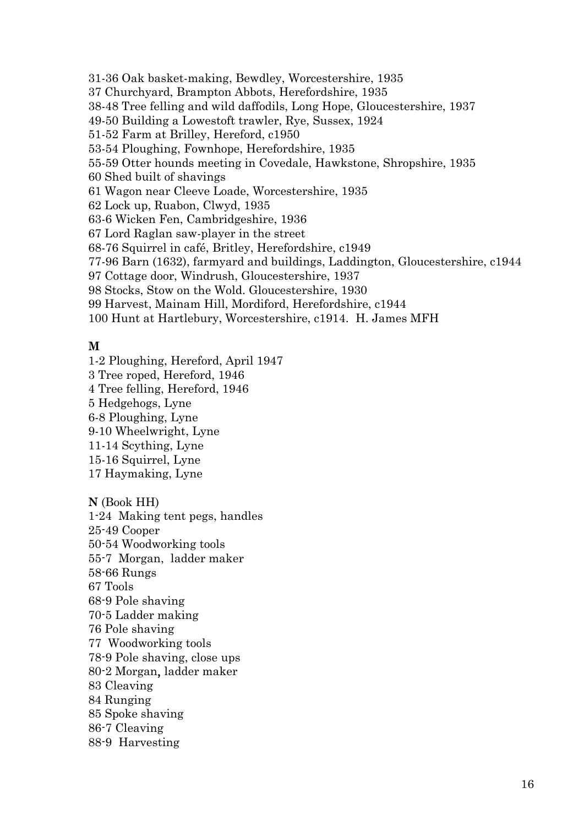31-36 Oak basket-making, Bewdley, Worcestershire, 1935 37 Churchyard, Brampton Abbots, Herefordshire, 1935 38-48 Tree felling and wild daffodils, Long Hope, Gloucestershire, 1937 49-50 Building a Lowestoft trawler, Rye, Sussex, 1924 51-52 Farm at Brilley, Hereford, c1950 53-54 Ploughing, Fownhope, Herefordshire, 1935 55-59 Otter hounds meeting in Covedale, Hawkstone, Shropshire, 1935 60 Shed built of shavings 61 Wagon near Cleeve Loade, Worcestershire, 1935 62 Lock up, Ruabon, Clwyd, 1935 63-6 Wicken Fen, Cambridgeshire, 1936 67 Lord Raglan saw-player in the street 68-76 Squirrel in café, Britley, Herefordshire, c1949 77-96 Barn (1632), farmyard and buildings, Laddington, Gloucestershire, c1944 97 Cottage door, Windrush, Gloucestershire, 1937 98 Stocks, Stow on the Wold. Gloucestershire, 1930 99 Harvest, Mainam Hill, Mordiford, Herefordshire, c1944 100 Hunt at Hartlebury, Worcestershire, c1914. H. James MFH

## **M**

1-2 Ploughing, Hereford, April 1947 3 Tree roped, Hereford, 1946 4 Tree felling, Hereford, 1946 5 Hedgehogs, Lyne 6-8 Ploughing, Lyne 9-10 Wheelwright, Lyne 11-14 Scything, Lyne 15-16 Squirrel, Lyne 17 Haymaking, Lyne

**N** (Book HH) 1-24 Making tent pegs, handles 25-49 Cooper 50-54 Woodworking tools 55-7 Morgan, ladder maker 58-66 Rungs 67 Tools 68-9 Pole shaving 70-5 Ladder making 76 Pole shaving 77 Woodworking tools 78-9 Pole shaving, close ups 80-2 Morgan, ladder maker 83 Cleaving 84 Runging 85 Spoke shaving 86-7 Cleaving 88-9 Harvesting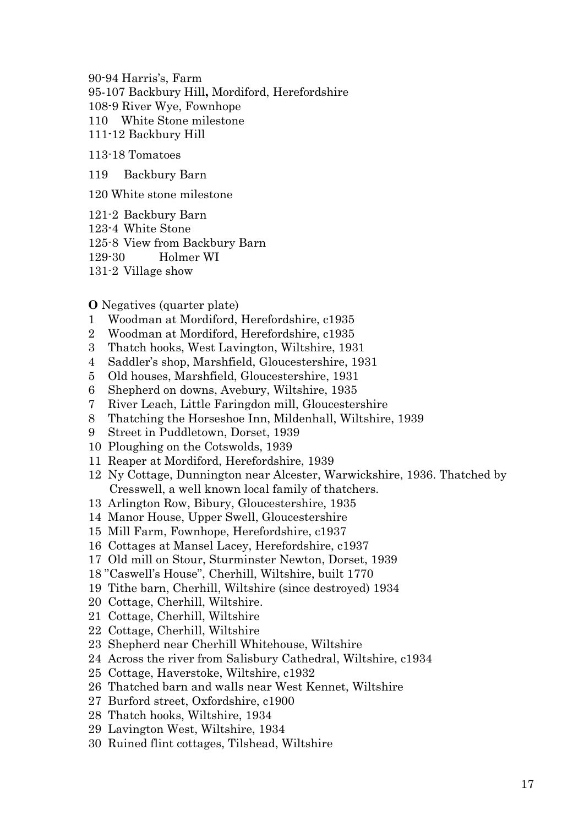90-94 Harris's, Farm 95-107 Backbury Hill**,** Mordiford, Herefordshire 108-9 River Wye, Fownhope 110 White Stone milestone 111-12 Backbury Hill

113-18 Tomatoes

119 Backbury Barn

120 White stone milestone

121-2 Backbury Barn 123-4 White Stone 125-8 View from Backbury Barn 129-30 Holmer WI 131-2 Village show

**O** Negatives (quarter plate)

- 1 Woodman at Mordiford, Herefordshire, c1935
- 2 Woodman at Mordiford, Herefordshire, c1935
- 3 Thatch hooks, West Lavington, Wiltshire, 1931
- 4 Saddler's shop, Marshfield, Gloucestershire, 1931
- 5 Old houses, Marshfield, Gloucestershire, 1931
- 6 Shepherd on downs, Avebury, Wiltshire, 1935
- 7 River Leach, Little Faringdon mill, Gloucestershire
- 8 Thatching the Horseshoe Inn, Mildenhall, Wiltshire, 1939
- 9 Street in Puddletown, Dorset, 1939
- 10 Ploughing on the Cotswolds, 1939
- 11 Reaper at Mordiford, Herefordshire, 1939
- 12 Ny Cottage, Dunnington near Alcester, Warwickshire, 1936. Thatched by Cresswell, a well known local family of thatchers.
- 13 Arlington Row, Bibury, Gloucestershire, 1935
- 14 Manor House, Upper Swell, Gloucestershire
- 15 Mill Farm, Fownhope, Herefordshire, c1937
- 16 Cottages at Mansel Lacey, Herefordshire, c1937
- 17 Old mill on Stour, Sturminster Newton, Dorset, 1939
- 18 "Caswell's House", Cherhill, Wiltshire, built 1770
- 19 Tithe barn, Cherhill, Wiltshire (since destroyed) 1934
- 20 Cottage, Cherhill, Wiltshire.
- 21 Cottage, Cherhill, Wiltshire
- 22 Cottage, Cherhill, Wiltshire
- 23 Shepherd near Cherhill Whitehouse, Wiltshire
- 24 Across the river from Salisbury Cathedral, Wiltshire, c1934
- 25 Cottage, Haverstoke, Wiltshire, c1932
- 26 Thatched barn and walls near West Kennet, Wiltshire
- 27 Burford street, Oxfordshire, c1900
- 28 Thatch hooks, Wiltshire, 1934
- 29 Lavington West, Wiltshire, 1934
- 30 Ruined flint cottages, Tilshead, Wiltshire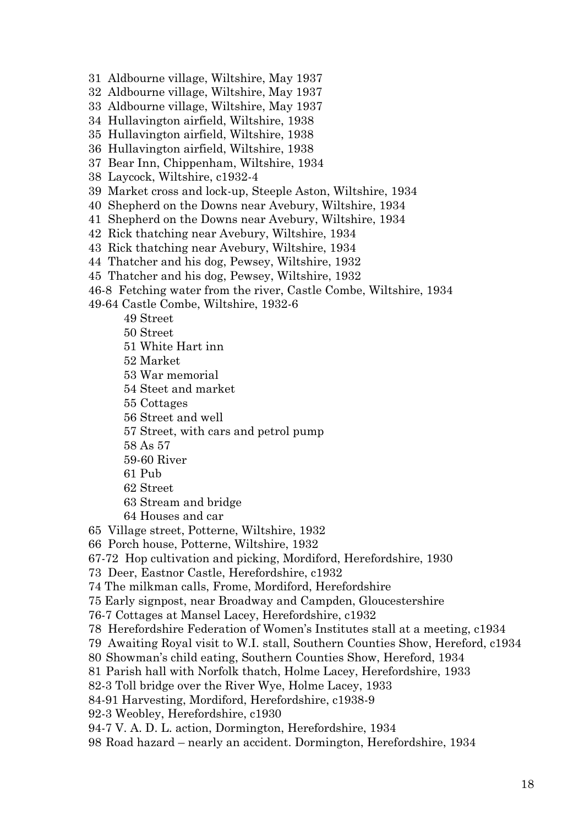- 31 Aldbourne village, Wiltshire, May 1937
- 32 Aldbourne village, Wiltshire, May 1937
- 33 Aldbourne village, Wiltshire, May 1937
- 34 Hullavington airfield, Wiltshire, 1938
- 35 Hullavington airfield, Wiltshire, 1938
- 36 Hullavington airfield, Wiltshire, 1938
- 37 Bear Inn, Chippenham, Wiltshire, 1934
- 38 Laycock, Wiltshire, c1932-4
- 39 Market cross and lock-up, Steeple Aston, Wiltshire, 1934
- 40 Shepherd on the Downs near Avebury, Wiltshire, 1934
- 41 Shepherd on the Downs near Avebury, Wiltshire, 1934
- 42 Rick thatching near Avebury, Wiltshire, 1934
- 43 Rick thatching near Avebury, Wiltshire, 1934
- 44 Thatcher and his dog, Pewsey, Wiltshire, 1932
- 45 Thatcher and his dog, Pewsey, Wiltshire, 1932
- 46-8 Fetching water from the river, Castle Combe, Wiltshire, 1934
- 49-64 Castle Combe, Wiltshire, 1932-6
	- 49 Street
	- 50 Street
	- 51 White Hart inn
	- 52 Market
	- 53 War memorial
	- 54 Steet and market
	- 55 Cottages
	- 56 Street and well
	- 57 Street, with cars and petrol pump
	- 58 As 57
	- 59-60 River
	- 61 Pub
	- 62 Street
	- 63 Stream and bridge
	- 64 Houses and car

65 Village street, Potterne, Wiltshire, 1932

- 66 Porch house, Potterne, Wiltshire, 1932
- 67-72 Hop cultivation and picking, Mordiford, Herefordshire, 1930
- 73 Deer, Eastnor Castle, Herefordshire, c1932
- 74 The milkman calls, Frome, Mordiford, Herefordshire
- 75 Early signpost, near Broadway and Campden, Gloucestershire
- 76-7 Cottages at Mansel Lacey, Herefordshire, c1932
- 78 Herefordshire Federation of Women's Institutes stall at a meeting, c1934
- 79 Awaiting Royal visit to W.I. stall, Southern Counties Show, Hereford, c1934
- 80 Showman's child eating, Southern Counties Show, Hereford, 1934
- 81 Parish hall with Norfolk thatch, Holme Lacey, Herefordshire, 1933
- 82-3 Toll bridge over the River Wye, Holme Lacey, 1933
- 84-91 Harvesting, Mordiford, Herefordshire, c1938-9
- 92-3 Weobley, Herefordshire, c1930
- 94-7 V. A. D. L. action, Dormington, Herefordshire, 1934
- 98 Road hazard nearly an accident. Dormington, Herefordshire, 1934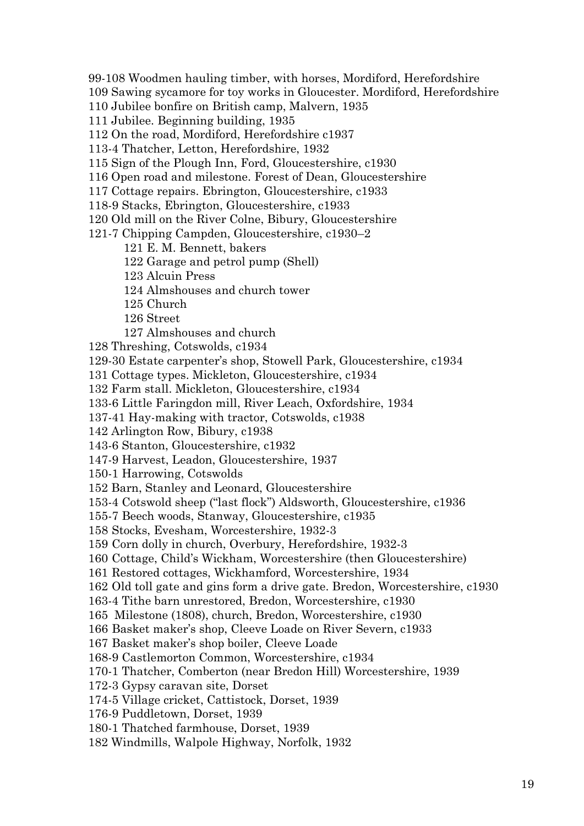99-108 Woodmen hauling timber, with horses, Mordiford, Herefordshire

109 Sawing sycamore for toy works in Gloucester. Mordiford, Herefordshire

110 Jubilee bonfire on British camp, Malvern, 1935

111 Jubilee. Beginning building, 1935

112 On the road, Mordiford, Herefordshire c1937

113-4 Thatcher, Letton, Herefordshire, 1932

115 Sign of the Plough Inn, Ford, Gloucestershire, c1930

116 Open road and milestone. Forest of Dean, Gloucestershire

117 Cottage repairs. Ebrington, Gloucestershire, c1933

118-9 Stacks, Ebrington, Gloucestershire, c1933

120 Old mill on the River Colne, Bibury, Gloucestershire

121-7 Chipping Campden, Gloucestershire, c1930–2

121 E. M. Bennett, bakers

122 Garage and petrol pump (Shell)

123 Alcuin Press

124 Almshouses and church tower

125 Church

126 Street

127 Almshouses and church

128 Threshing, Cotswolds, c1934

129-30 Estate carpenter's shop, Stowell Park, Gloucestershire, c1934

131 Cottage types. Mickleton, Gloucestershire, c1934

132 Farm stall. Mickleton, Gloucestershire, c1934

133-6 Little Faringdon mill, River Leach, Oxfordshire, 1934

137-41 Hay-making with tractor, Cotswolds, c1938

142 Arlington Row, Bibury, c1938

143-6 Stanton, Gloucestershire, c1932

147-9 Harvest, Leadon, Gloucestershire, 1937

150-1 Harrowing, Cotswolds

152 Barn, Stanley and Leonard, Gloucestershire

153-4 Cotswold sheep ("last flock") Aldsworth, Gloucestershire, c1936

155-7 Beech woods, Stanway, Gloucestershire, c1935

158 Stocks, Evesham, Worcestershire, 1932-3

159 Corn dolly in church, Overbury, Herefordshire, 1932-3

160 Cottage, Child's Wickham, Worcestershire (then Gloucestershire)

161 Restored cottages, Wickhamford, Worcestershire, 1934

162 Old toll gate and gins form a drive gate. Bredon, Worcestershire, c1930

163-4 Tithe barn unrestored, Bredon, Worcestershire, c1930

165 Milestone (1808), church, Bredon, Worcestershire, c1930

166 Basket maker's shop, Cleeve Loade on River Severn, c1933

167 Basket maker's shop boiler, Cleeve Loade

168-9 Castlemorton Common, Worcestershire, c1934

170-1 Thatcher, Comberton (near Bredon Hill) Worcestershire, 1939

172-3 Gypsy caravan site, Dorset

174-5 Village cricket, Cattistock, Dorset, 1939

176-9 Puddletown, Dorset, 1939

180-1 Thatched farmhouse, Dorset, 1939

182 Windmills, Walpole Highway, Norfolk, 1932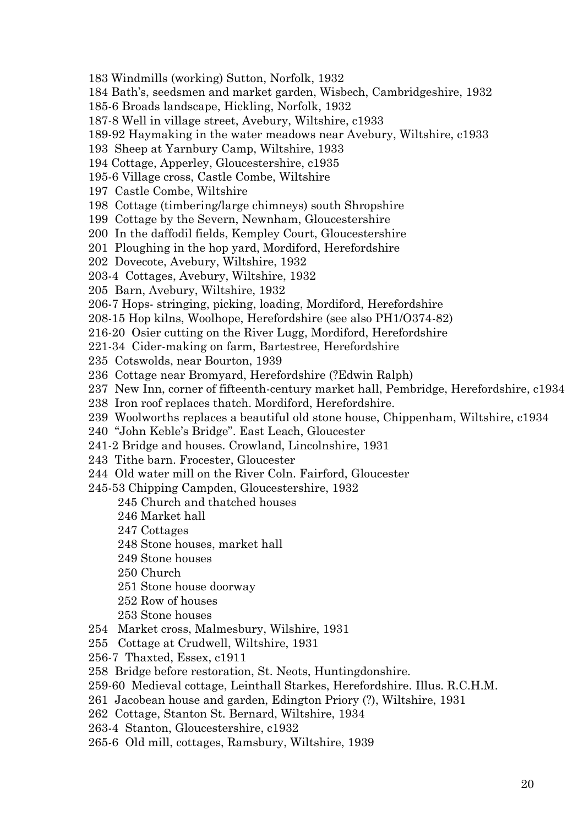183 Windmills (working) Sutton, Norfolk, 1932

184 Bath's, seedsmen and market garden, Wisbech, Cambridgeshire, 1932

185-6 Broads landscape, Hickling, Norfolk, 1932

187-8 Well in village street, Avebury, Wiltshire, c1933

189-92 Haymaking in the water meadows near Avebury, Wiltshire, c1933

193 Sheep at Yarnbury Camp, Wiltshire, 1933

194 Cottage, Apperley, Gloucestershire, c1935

195-6 Village cross, Castle Combe, Wiltshire

197 Castle Combe, Wiltshire

198 Cottage (timbering/large chimneys) south Shropshire

199 Cottage by the Severn, Newnham, Gloucestershire

200 In the daffodil fields, Kempley Court, Gloucestershire

201 Ploughing in the hop yard, Mordiford, Herefordshire

202 Dovecote, Avebury, Wiltshire, 1932

203-4 Cottages, Avebury, Wiltshire, 1932

205 Barn, Avebury, Wiltshire, 1932

206-7 Hops- stringing, picking, loading, Mordiford, Herefordshire

208-15 Hop kilns, Woolhope, Herefordshire (see also PH1/O374-82)

216-20 Osier cutting on the River Lugg, Mordiford, Herefordshire

221-34 Cider-making on farm, Bartestree, Herefordshire

235 Cotswolds, near Bourton, 1939

236 Cottage near Bromyard, Herefordshire (?Edwin Ralph)

237 New Inn, corner of fifteenth-century market hall, Pembridge, Herefordshire, c1934

238 Iron roof replaces thatch. Mordiford, Herefordshire.

239 Woolworths replaces a beautiful old stone house, Chippenham, Wiltshire, c1934

240 "John Keble's Bridge". East Leach, Gloucester

241-2 Bridge and houses. Crowland, Lincolnshire, 1931

243 Tithe barn. Frocester, Gloucester

244 Old water mill on the River Coln. Fairford, Gloucester

245-53 Chipping Campden, Gloucestershire, 1932

245 Church and thatched houses

246 Market hall

247 Cottages

248 Stone houses, market hall

249 Stone houses

250 Church

251 Stone house doorway

252 Row of houses

253 Stone houses

254 Market cross, Malmesbury, Wilshire, 1931

255 Cottage at Crudwell, Wiltshire, 1931

256-7 Thaxted, Essex, c1911

258 Bridge before restoration, St. Neots, Huntingdonshire.

259-60 Medieval cottage, Leinthall Starkes, Herefordshire. Illus. R.C.H.M.

261 Jacobean house and garden, Edington Priory (?), Wiltshire, 1931

262 Cottage, Stanton St. Bernard, Wiltshire, 1934

263-4 Stanton, Gloucestershire, c1932

265-6 Old mill, cottages, Ramsbury, Wiltshire, 1939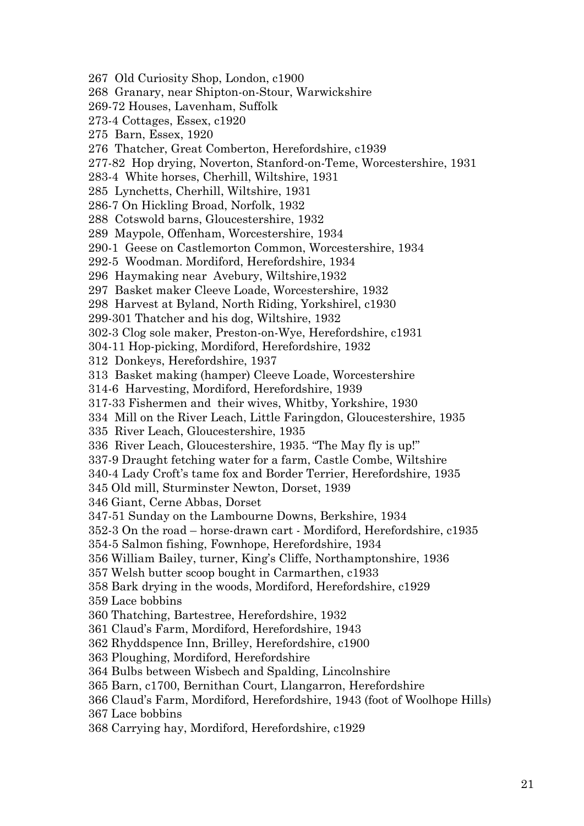267 Old Curiosity Shop, London, c1900 268 Granary, near Shipton-on-Stour, Warwickshire 269-72 Houses, Lavenham, Suffolk 273-4 Cottages, Essex, c1920 275 Barn, Essex, 1920 276 Thatcher, Great Comberton, Herefordshire, c1939 277-82 Hop drying, Noverton, Stanford-on-Teme, Worcestershire, 1931 283-4 White horses, Cherhill, Wiltshire, 1931 285 Lynchetts, Cherhill, Wiltshire, 1931 286-7 On Hickling Broad, Norfolk, 1932 288 Cotswold barns, Gloucestershire, 1932 289 Maypole, Offenham, Worcestershire, 1934 290-1 Geese on Castlemorton Common, Worcestershire, 1934 292-5 Woodman. Mordiford, Herefordshire, 1934 296 Haymaking near Avebury, Wiltshire,1932 297 Basket maker Cleeve Loade, Worcestershire, 1932 298 Harvest at Byland, North Riding, Yorkshirel, c1930 299-301 Thatcher and his dog, Wiltshire, 1932 302-3 Clog sole maker, Preston-on-Wye, Herefordshire, c1931 304-11 Hop-picking, Mordiford, Herefordshire, 1932 312 Donkeys, Herefordshire, 1937 313 Basket making (hamper) Cleeve Loade, Worcestershire 314-6 Harvesting, Mordiford, Herefordshire, 1939 317-33 Fishermen and their wives, Whitby, Yorkshire, 1930 334 Mill on the River Leach, Little Faringdon, Gloucestershire, 1935 335 River Leach, Gloucestershire, 1935 336 River Leach, Gloucestershire, 1935. "The May fly is up!" 337-9 Draught fetching water for a farm, Castle Combe, Wiltshire 340-4 Lady Croft's tame fox and Border Terrier, Herefordshire, 1935 345 Old mill, Sturminster Newton, Dorset, 1939 346 Giant, Cerne Abbas, Dorset 347-51 Sunday on the Lambourne Downs, Berkshire, 1934 352-3 On the road – horse-drawn cart - Mordiford, Herefordshire, c1935 354-5 Salmon fishing, Fownhope, Herefordshire, 1934 356 William Bailey, turner, King's Cliffe, Northamptonshire, 1936 357 Welsh butter scoop bought in Carmarthen, c1933 358 Bark drying in the woods, Mordiford, Herefordshire, c1929 359 Lace bobbins 360 Thatching, Bartestree, Herefordshire, 1932 361 Claud's Farm, Mordiford, Herefordshire, 1943 362 Rhyddspence Inn, Brilley, Herefordshire, c1900 363 Ploughing, Mordiford, Herefordshire 364 Bulbs between Wisbech and Spalding, Lincolnshire 365 Barn, c1700, Bernithan Court, Llangarron, Herefordshire 366 Claud's Farm, Mordiford, Herefordshire, 1943 (foot of Woolhope Hills) 367 Lace bobbins 368 Carrying hay, Mordiford, Herefordshire, c1929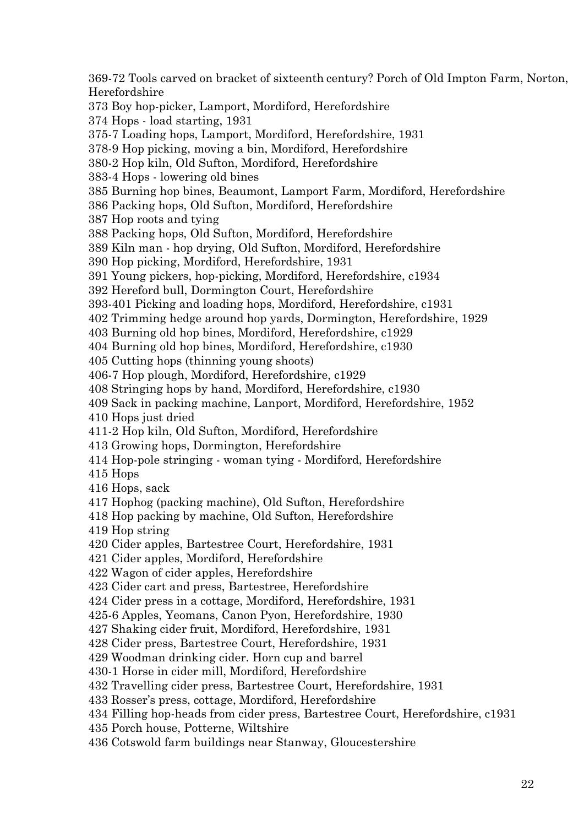369-72 Tools carved on bracket of sixteenth century? Porch of Old Impton Farm, Norton, Herefordshire 373 Boy hop-picker, Lamport, Mordiford, Herefordshire 374 Hops - load starting, 1931 375-7 Loading hops, Lamport, Mordiford, Herefordshire, 1931 378-9 Hop picking, moving a bin, Mordiford, Herefordshire 380-2 Hop kiln, Old Sufton, Mordiford, Herefordshire 383-4 Hops - lowering old bines 385 Burning hop bines, Beaumont, Lamport Farm, Mordiford, Herefordshire 386 Packing hops, Old Sufton, Mordiford, Herefordshire 387 Hop roots and tying 388 Packing hops, Old Sufton, Mordiford, Herefordshire 389 Kiln man - hop drying, Old Sufton, Mordiford, Herefordshire 390 Hop picking, Mordiford, Herefordshire, 1931 391 Young pickers, hop-picking, Mordiford, Herefordshire, c1934 392 Hereford bull, Dormington Court, Herefordshire 393-401 Picking and loading hops, Mordiford, Herefordshire, c1931 402 Trimming hedge around hop yards, Dormington, Herefordshire, 1929 403 Burning old hop bines, Mordiford, Herefordshire, c1929 404 Burning old hop bines, Mordiford, Herefordshire, c1930 405 Cutting hops (thinning young shoots) 406-7 Hop plough, Mordiford, Herefordshire, c1929 408 Stringing hops by hand, Mordiford, Herefordshire, c1930 409 Sack in packing machine, Lanport, Mordiford, Herefordshire, 1952 410 Hops just dried 411-2 Hop kiln, Old Sufton, Mordiford, Herefordshire 413 Growing hops, Dormington, Herefordshire 414 Hop-pole stringing - woman tying - Mordiford, Herefordshire 415 Hops 416 Hops, sack 417 Hophog (packing machine), Old Sufton, Herefordshire 418 Hop packing by machine, Old Sufton, Herefordshire 419 Hop string 420 Cider apples, Bartestree Court, Herefordshire, 1931 421 Cider apples, Mordiford, Herefordshire 422 Wagon of cider apples, Herefordshire 423 Cider cart and press, Bartestree, Herefordshire 424 Cider press in a cottage, Mordiford, Herefordshire, 1931 425-6 Apples, Yeomans, Canon Pyon, Herefordshire, 1930 427 Shaking cider fruit, Mordiford, Herefordshire, 1931 428 Cider press, Bartestree Court, Herefordshire, 1931 429 Woodman drinking cider. Horn cup and barrel 430-1 Horse in cider mill, Mordiford, Herefordshire 432 Travelling cider press, Bartestree Court, Herefordshire, 1931 433 Rosser's press, cottage, Mordiford, Herefordshire 434 Filling hop-heads from cider press, Bartestree Court, Herefordshire, c1931 435 Porch house, Potterne, Wiltshire 436 Cotswold farm buildings near Stanway, Gloucestershire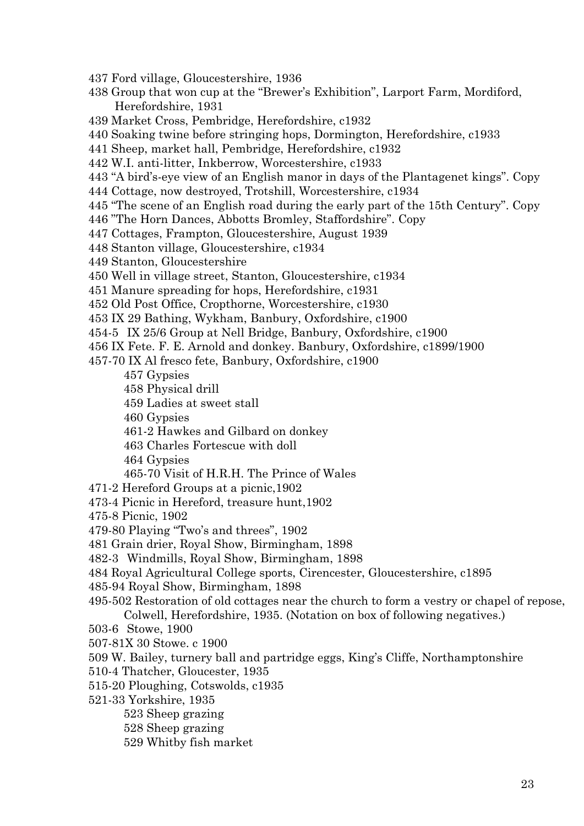- 437 Ford village, Gloucestershire, 1936
- 438 Group that won cup at the "Brewer's Exhibition", Larport Farm, Mordiford, Herefordshire, 1931
- 439 Market Cross, Pembridge, Herefordshire, c1932
- 440 Soaking twine before stringing hops, Dormington, Herefordshire, c1933
- 441 Sheep, market hall, Pembridge, Herefordshire, c1932
- 442 W.I. anti-litter, Inkberrow, Worcestershire, c1933
- 443 "A bird's-eye view of an English manor in days of the Plantagenet kings". Copy
- 444 Cottage, now destroyed, Trotshill, Worcestershire, c1934
- 445 "The scene of an English road during the early part of the 15th Century". Copy
- 446 "The Horn Dances, Abbotts Bromley, Staffordshire". Copy
- 447 Cottages, Frampton, Gloucestershire, August 1939
- 448 Stanton village, Gloucestershire, c1934
- 449 Stanton, Gloucestershire
- 450 Well in village street, Stanton, Gloucestershire, c1934
- 451 Manure spreading for hops, Herefordshire, c1931
- 452 Old Post Office, Cropthorne, Worcestershire, c1930
- 453 IX 29 Bathing, Wykham, Banbury, Oxfordshire, c1900
- 454-5 IX 25/6 Group at Nell Bridge, Banbury, Oxfordshire, c1900
- 456 IX Fete. F. E. Arnold and donkey. Banbury, Oxfordshire, c1899/1900
- 457-70 IX Al fresco fete, Banbury, Oxfordshire, c1900
	- 457 Gypsies
	- 458 Physical drill
	- 459 Ladies at sweet stall
	- 460 Gypsies
	- 461-2 Hawkes and Gilbard on donkey
	- 463 Charles Fortescue with doll
	- 464 Gypsies
	- 465-70 Visit of H.R.H. The Prince of Wales
- 471-2 Hereford Groups at a picnic,1902
- 473-4 Picnic in Hereford, treasure hunt,1902
- 475-8 Picnic, 1902
- 479-80 Playing "Two's and threes", 1902
- 481 Grain drier, Royal Show, Birmingham, 1898
- 482-3 Windmills, Royal Show, Birmingham, 1898
- 484 Royal Agricultural College sports, Cirencester, Gloucestershire, c1895
- 485-94 Royal Show, Birmingham, 1898
- 495-502 Restoration of old cottages near the church to form a vestry or chapel of repose,
- Colwell, Herefordshire, 1935. (Notation on box of following negatives.)
- 503-6 Stowe, 1900
- 507-81X 30 Stowe. c 1900
- 509 W. Bailey, turnery ball and partridge eggs, King's Cliffe, Northamptonshire
- 510-4 Thatcher, Gloucester, 1935
- 515-20 Ploughing, Cotswolds, c1935
- 521-33 Yorkshire, 1935
	- 523 Sheep grazing
		- 528 Sheep grazing
	- 529 Whitby fish market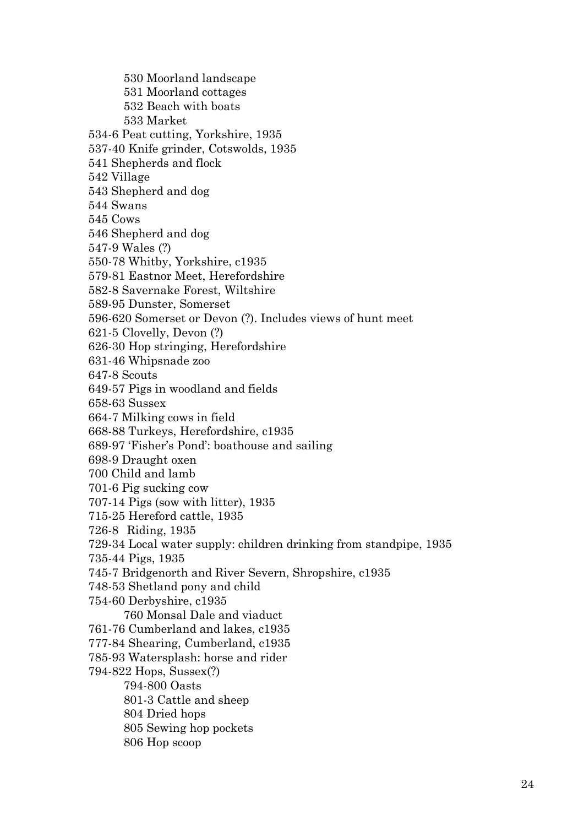530 Moorland landscape 531 Moorland cottages 532 Beach with boats 533 Market 534-6 Peat cutting, Yorkshire, 1935 537-40 Knife grinder, Cotswolds, 1935 541 Shepherds and flock 542 Village 543 Shepherd and dog 544 Swans 545 Cows 546 Shepherd and dog 547-9 Wales (?) 550-78 Whitby, Yorkshire, c1935 579-81 Eastnor Meet, Herefordshire 582-8 Savernake Forest, Wiltshire 589-95 Dunster, Somerset 596-620 Somerset or Devon (?). Includes views of hunt meet 621-5 Clovelly, Devon (?) 626-30 Hop stringing, Herefordshire 631-46 Whipsnade zoo 647-8 Scouts 649-57 Pigs in woodland and fields 658-63 Sussex 664-7 Milking cows in field 668-88 Turkeys, Herefordshire, c1935 689-97 'Fisher's Pond': boathouse and sailing 698-9 Draught oxen 700 Child and lamb 701-6 Pig sucking cow 707-14 Pigs (sow with litter), 1935 715-25 Hereford cattle, 1935 726-8 Riding, 1935 729-34 Local water supply: children drinking from standpipe, 1935 735-44 Pigs, 1935 745-7 Bridgenorth and River Severn, Shropshire, c1935 748-53 Shetland pony and child 754-60 Derbyshire, c1935 760 Monsal Dale and viaduct 761-76 Cumberland and lakes, c1935 777-84 Shearing, Cumberland, c1935 785-93 Watersplash: horse and rider 794-822 Hops, Sussex(?) 794-800 Oasts 801-3 Cattle and sheep 804 Dried hops 805 Sewing hop pockets 806 Hop scoop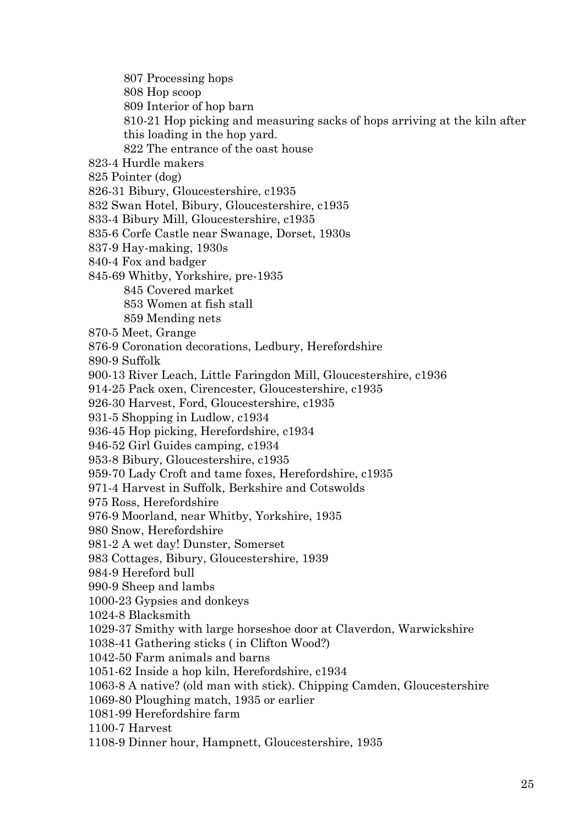807 Processing hops

808 Hop scoop

809 Interior of hop barn

810-21 Hop picking and measuring sacks of hops arriving at the kiln after

this loading in the hop yard.

822 The entrance of the oast house

823-4 Hurdle makers

825 Pointer (dog)

826-31 Bibury, Gloucestershire, c1935

832 Swan Hotel, Bibury, Gloucestershire, c1935

833-4 Bibury Mill, Gloucestershire, c1935

835-6 Corfe Castle near Swanage, Dorset, 1930s

837-9 Hay-making, 1930s

840-4 Fox and badger

845-69 Whitby, Yorkshire, pre-1935

845 Covered market

853 Women at fish stall

859 Mending nets

870-5 Meet, Grange

876-9 Coronation decorations, Ledbury, Herefordshire

890-9 Suffolk

900-13 River Leach, Little Faringdon Mill, Gloucestershire, c1936

914-25 Pack oxen, Cirencester, Gloucestershire, c1935

926-30 Harvest, Ford, Gloucestershire, c1935

931-5 Shopping in Ludlow, c1934

936-45 Hop picking, Herefordshire, c1934

946-52 Girl Guides camping, c1934

953-8 Bibury, Gloucestershire, c1935

959-70 Lady Croft and tame foxes, Herefordshire, c1935

971-4 Harvest in Suffolk, Berkshire and Cotswolds

975 Ross, Herefordshire

976-9 Moorland, near Whitby, Yorkshire, 1935

980 Snow, Herefordshire

981-2 A wet day! Dunster, Somerset

983 Cottages, Bibury, Gloucestershire, 1939

984-9 Hereford bull

990-9 Sheep and lambs

1000-23 Gypsies and donkeys

1024-8 Blacksmith

1029-37 Smithy with large horseshoe door at Claverdon, Warwickshire

1038-41 Gathering sticks ( in Clifton Wood?)

1042-50 Farm animals and barns

1051-62 Inside a hop kiln, Herefordshire, c1934

1063-8 A native? (old man with stick). Chipping Camden, Gloucestershire

1069-80 Ploughing match, 1935 or earlier

1081-99 Herefordshire farm

1100-7 Harvest

1108-9 Dinner hour, Hampnett, Gloucestershire, 1935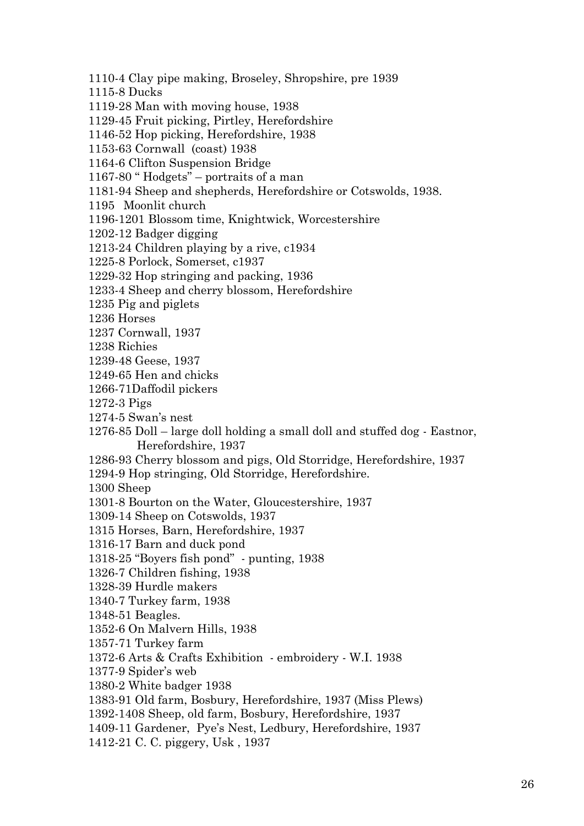1110-4 Clay pipe making, Broseley, Shropshire, pre 1939 1115-8 Ducks 1119-28 Man with moving house, 1938 1129-45 Fruit picking, Pirtley, Herefordshire 1146-52 Hop picking, Herefordshire, 1938 1153-63 Cornwall (coast) 1938 1164-6 Clifton Suspension Bridge 1167-80 " Hodgets" – portraits of a man 1181-94 Sheep and shepherds, Herefordshire or Cotswolds, 1938. 1195 Moonlit church 1196-1201 Blossom time, Knightwick, Worcestershire 1202-12 Badger digging 1213-24 Children playing by a rive, c1934 1225-8 Porlock, Somerset, c1937 1229-32 Hop stringing and packing, 1936 1233-4 Sheep and cherry blossom, Herefordshire 1235 Pig and piglets 1236 Horses 1237 Cornwall, 1937 1238 Richies

1239-48 Geese, 1937

1249-65 Hen and chicks

1266-71Daffodil pickers

1272-3 Pigs

1274-5 Swan's nest

1276-85 Doll – large doll holding a small doll and stuffed dog - Eastnor, Herefordshire, 1937

1286-93 Cherry blossom and pigs, Old Storridge, Herefordshire, 1937

1294-9 Hop stringing, Old Storridge, Herefordshire.

1300 Sheep

1301-8 Bourton on the Water, Gloucestershire, 1937

1309-14 Sheep on Cotswolds, 1937

1315 Horses, Barn, Herefordshire, 1937

1316-17 Barn and duck pond

1318-25 "Boyers fish pond" - punting, 1938

1326-7 Children fishing, 1938

1328-39 Hurdle makers

1340-7 Turkey farm, 1938

1348-51 Beagles.

1352-6 On Malvern Hills, 1938

1357-71 Turkey farm

1372-6 Arts & Crafts Exhibition - embroidery - W.I. 1938

1377-9 Spider's web

1380-2 White badger 1938

1383-91 Old farm, Bosbury, Herefordshire, 1937 (Miss Plews)

1392-1408 Sheep, old farm, Bosbury, Herefordshire, 1937

1409-11 Gardener, Pye's Nest, Ledbury, Herefordshire, 1937

1412-21 C. C. piggery, Usk , 1937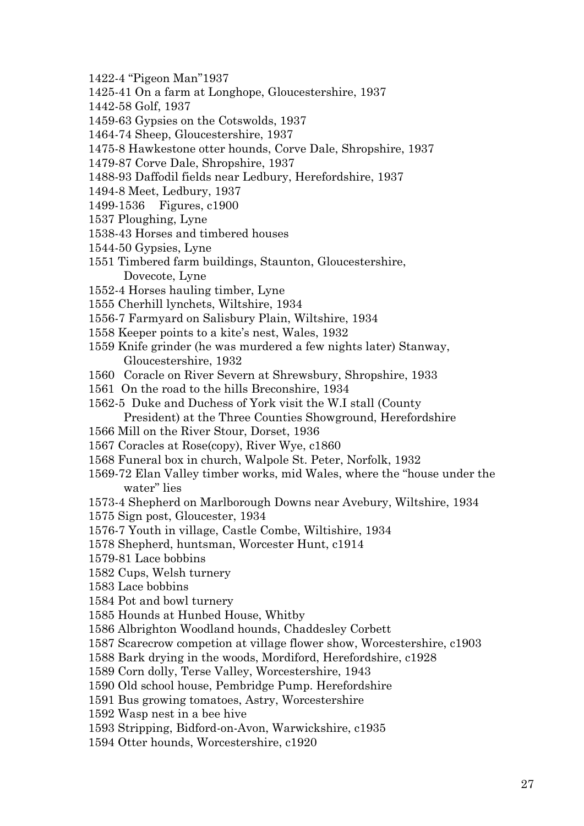- 1422-4 "Pigeon Man"1937
- 1425-41 On a farm at Longhope, Gloucestershire, 1937
- 1442-58 Golf, 1937
- 1459-63 Gypsies on the Cotswolds, 1937
- 1464-74 Sheep, Gloucestershire, 1937
- 1475-8 Hawkestone otter hounds, Corve Dale, Shropshire, 1937
- 1479-87 Corve Dale, Shropshire, 1937
- 1488-93 Daffodil fields near Ledbury, Herefordshire, 1937
- 1494-8 Meet, Ledbury, 1937
- 1499-1536 Figures, c1900
- 1537 Ploughing, Lyne
- 1538-43 Horses and timbered houses
- 1544-50 Gypsies, Lyne
- 1551 Timbered farm buildings, Staunton, Gloucestershire, Dovecote, Lyne
- 1552-4 Horses hauling timber, Lyne
- 1555 Cherhill lynchets, Wiltshire, 1934
- 1556-7 Farmyard on Salisbury Plain, Wiltshire, 1934
- 1558 Keeper points to a kite's nest, Wales, 1932
- 1559 Knife grinder (he was murdered a few nights later) Stanway, Gloucestershire, 1932
- 1560 Coracle on River Severn at Shrewsbury, Shropshire, 1933
- 1561 On the road to the hills Breconshire, 1934
- 1562-5 Duke and Duchess of York visit the W.I stall (County President) at the Three Counties Showground, Herefordshire
- 1566 Mill on the River Stour, Dorset, 1936
- 1567 Coracles at Rose(copy), River Wye, c1860
- 1568 Funeral box in church, Walpole St. Peter, Norfolk, 1932
- 1569-72 Elan Valley timber works, mid Wales, where the "house under the water" lies
- 1573-4 Shepherd on Marlborough Downs near Avebury, Wiltshire, 1934
- 1575 Sign post, Gloucester, 1934
- 1576-7 Youth in village, Castle Combe, Wiltishire, 1934
- 1578 Shepherd, huntsman, Worcester Hunt, c1914
- 1579-81 Lace bobbins
- 1582 Cups, Welsh turnery
- 1583 Lace bobbins
- 1584 Pot and bowl turnery
- 1585 Hounds at Hunbed House, Whitby
- 1586 Albrighton Woodland hounds, Chaddesley Corbett
- 1587 Scarecrow competion at village flower show, Worcestershire, c1903
- 1588 Bark drying in the woods, Mordiford, Herefordshire, c1928
- 1589 Corn dolly, Terse Valley, Worcestershire, 1943
- 1590 Old school house, Pembridge Pump. Herefordshire
- 1591 Bus growing tomatoes, Astry, Worcestershire
- 1592 Wasp nest in a bee hive
- 1593 Stripping, Bidford-on-Avon, Warwickshire, c1935
- 1594 Otter hounds, Worcestershire, c1920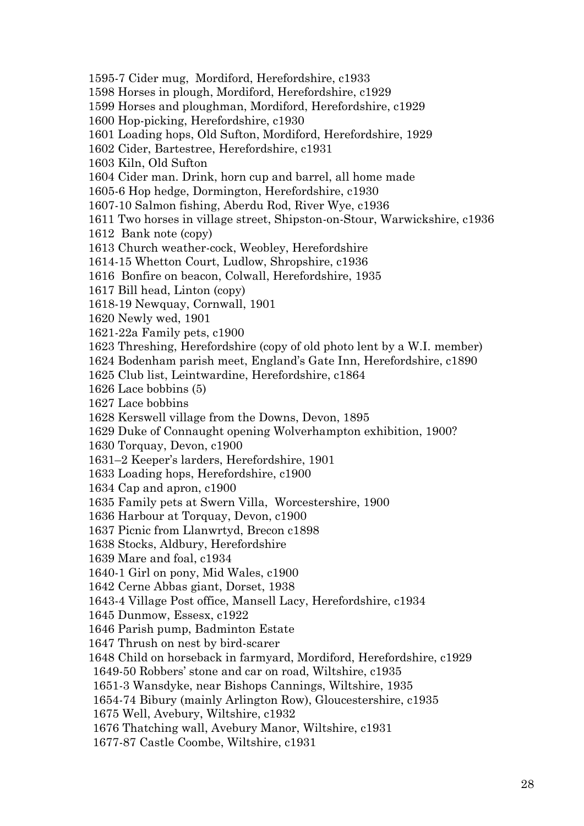1595-7 Cider mug, Mordiford, Herefordshire, c1933 1598 Horses in plough, Mordiford, Herefordshire, c1929 1599 Horses and ploughman, Mordiford, Herefordshire, c1929 1600 Hop-picking, Herefordshire, c1930 1601 Loading hops, Old Sufton, Mordiford, Herefordshire, 1929 1602 Cider, Bartestree, Herefordshire, c1931 1603 Kiln, Old Sufton 1604 Cider man. Drink, horn cup and barrel, all home made 1605-6 Hop hedge, Dormington, Herefordshire, c1930 1607-10 Salmon fishing, Aberdu Rod, River Wye, c1936 1611 Two horses in village street, Shipston-on-Stour, Warwickshire, c1936 1612 Bank note (copy) 1613 Church weather-cock, Weobley, Herefordshire 1614-15 Whetton Court, Ludlow, Shropshire, c1936 1616 Bonfire on beacon, Colwall, Herefordshire, 1935 1617 Bill head, Linton (copy) 1618-19 Newquay, Cornwall, 1901 1620 Newly wed, 1901 1621-22a Family pets, c1900 1623 Threshing, Herefordshire (copy of old photo lent by a W.I. member) 1624 Bodenham parish meet, England's Gate Inn, Herefordshire, c1890 1625 Club list, Leintwardine, Herefordshire, c1864 1626 Lace bobbins (5) 1627 Lace bobbins 1628 Kerswell village from the Downs, Devon, 1895 1629 Duke of Connaught opening Wolverhampton exhibition, 1900? 1630 Torquay, Devon, c1900 1631–2 Keeper's larders, Herefordshire, 1901 1633 Loading hops, Herefordshire, c1900 1634 Cap and apron, c1900 1635 Family pets at Swern Villa, Worcestershire, 1900 1636 Harbour at Torquay, Devon, c1900 1637 Picnic from Llanwrtyd, Brecon c1898 1638 Stocks, Aldbury, Herefordshire 1639 Mare and foal, c1934 1640-1 Girl on pony, Mid Wales, c1900 1642 Cerne Abbas giant, Dorset, 1938 1643-4 Village Post office, Mansell Lacy, Herefordshire, c1934 1645 Dunmow, Essesx, c1922 1646 Parish pump, Badminton Estate 1647 Thrush on nest by bird-scarer 1648 Child on horseback in farmyard, Mordiford, Herefordshire, c1929 1649-50 Robbers' stone and car on road, Wiltshire, c1935 1651-3 Wansdyke, near Bishops Cannings, Wiltshire, 1935 1654-74 Bibury (mainly Arlington Row), Gloucestershire, c1935 1675 Well, Avebury, Wiltshire, c1932 1676 Thatching wall, Avebury Manor, Wiltshire, c1931 1677-87 Castle Coombe, Wiltshire, c1931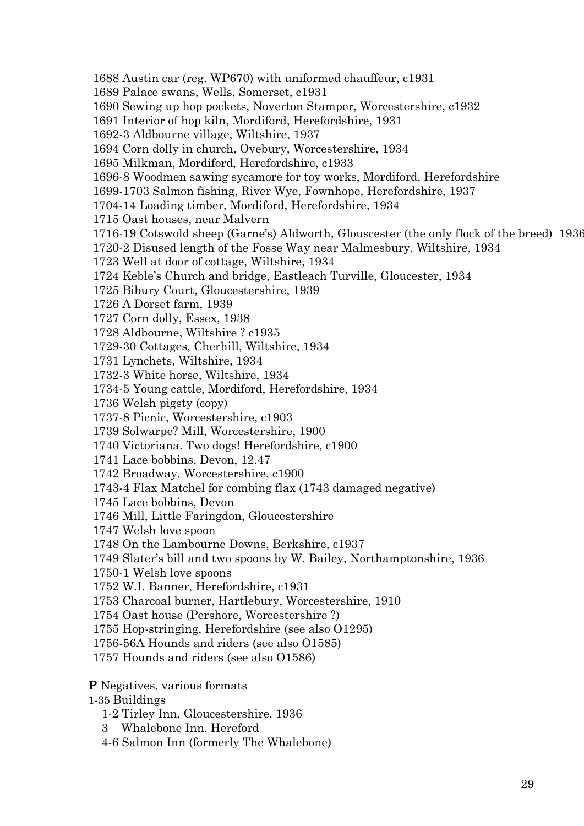1688 Austin car (reg. WP670) with uniformed chauffeur, c1931 1689 Palace swans, Wells, Somerset, c1931 1690 Sewing up hop pockets, Noverton Stamper, Worcestershire, c1932 1691 Interior of hop kiln, Mordiford, Herefordshire, 1931 1692-3 Aldbourne village, Wiltshire, 1937 1694 Corn dolly in church, Ovebury, Worcestershire, 1934 1695 Milkman, Mordiford, Herefordshire, c1933 1696-8 Woodmen sawing sycamore for toy works, Mordiford, Herefordshire 1699-1703 Salmon fishing, River Wye, Fownhope, Herefordshire, 1937 1704-14 Loading timber, Mordiford, Herefordshire, 1934 1715 Oast houses, near Malvern 1716-19 Cotswold sheep (Garne's) Aldworth, Glouscester (the only flock of the breed) 1936 1720-2 Disused length of the Fosse Way near Malmesbury, Wiltshire, 1934 1723 Well at door of cottage, Wiltshire, 1934 1724 Keble's Church and bridge, Eastleach Turville, Gloucester, 1934 1725 Bibury Court, Gloucestershire, 1939 1726 A Dorset farm, 1939 1727 Corn dolly, Essex, 1938 1728 Aldbourne, Wiltshire ? c1935 1729-30 Cottages, Cherhill, Wiltshire, 1934 1731 Lynchets, Wiltshire, 1934 1732-3 White horse, Wiltshire, 1934 1734-5 Young cattle, Mordiford, Herefordshire, 1934 1736 Welsh pigsty (copy) 1737-8 Picnic, Worcestershire, c1903 1739 Solwarpe? Mill, Worcestershire, 1900 1740 Victoriana. Two dogs! Herefordshire, c1900 1741 Lace bobbins, Devon, 12.47 1742 Broadway, Worcestershire, c1900 1743-4 Flax Matchel for combing flax (1743 damaged negative) 1745 Lace bobbins, Devon 1746 Mill, Little Faringdon, Gloucestershire 1747 Welsh love spoon 1748 On the Lambourne Downs, Berkshire, c1937 1749 Slater's bill and two spoons by W. Bailey, Northamptonshire, 1936 1750-1 Welsh love spoons 1752 W.I. Banner, Herefordshire, c1931 1753 Charcoal burner, Hartlebury, Worcestershire, 1910 1754 Oast house (Pershore, Worcestershire ?) 1755 Hop-stringing, Herefordshire (see also O1295) 1756-56A Hounds and riders (see also O1585) 1757 Hounds and riders (see also O1586) **P** Negatives, various formats 1-35 Buildings 1-2 Tirley Inn, Gloucestershire, 1936 3 Whalebone Inn, Hereford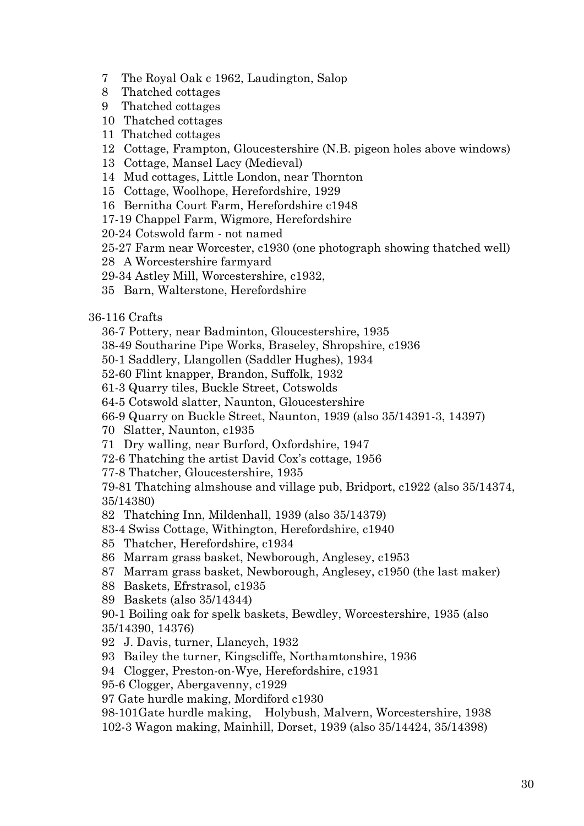- 7 The Royal Oak c 1962, Laudington, Salop
- 8 Thatched cottages
- 9 Thatched cottages
- 10 Thatched cottages
- 11 Thatched cottages
- 12 Cottage, Frampton, Gloucestershire (N.B. pigeon holes above windows)
- 13 Cottage, Mansel Lacy (Medieval)
- 14 Mud cottages, Little London, near Thornton
- 15 Cottage, Woolhope, Herefordshire, 1929
- 16 Bernitha Court Farm, Herefordshire c1948
- 17-19 Chappel Farm, Wigmore, Herefordshire
- 20-24 Cotswold farm not named
- 25-27 Farm near Worcester, c1930 (one photograph showing thatched well)
- 28 A Worcestershire farmyard
- 29-34 Astley Mill, Worcestershire, c1932,
- 35 Barn, Walterstone, Herefordshire

## 36-116 Crafts

- 36-7 Pottery, near Badminton, Gloucestershire, 1935
- 38-49 Southarine Pipe Works, Braseley, Shropshire, c1936
- 50-1 Saddlery, Llangollen (Saddler Hughes), 1934
- 52-60 Flint knapper, Brandon, Suffolk, 1932
- 61-3 Quarry tiles, Buckle Street, Cotswolds
- 64-5 Cotswold slatter, Naunton, Gloucestershire
- 66-9 Quarry on Buckle Street, Naunton, 1939 (also 35/14391-3, 14397)
- 70 Slatter, Naunton, c1935
- 71 Dry walling, near Burford, Oxfordshire, 1947
- 72-6 Thatching the artist David Cox's cottage, 1956
- 77-8 Thatcher, Gloucestershire, 1935

79-81 Thatching almshouse and village pub, Bridport, c1922 (also 35/14374, 35/14380)

- 82 Thatching Inn, Mildenhall, 1939 (also 35/14379)
- 83-4 Swiss Cottage, Withington, Herefordshire, c1940
- 85 Thatcher, Herefordshire, c1934
- 86 Marram grass basket, Newborough, Anglesey, c1953
- 87 Marram grass basket, Newborough, Anglesey, c1950 (the last maker)
- 88 Baskets, Efrstrasol, c1935
- 89 Baskets (also 35/14344)

90-1 Boiling oak for spelk baskets, Bewdley, Worcestershire, 1935 (also 35/14390, 14376)

- 92 J. Davis, turner, Llancych, 1932
- 93 Bailey the turner, Kingscliffe, Northamtonshire, 1936

94 Clogger, Preston-on-Wye, Herefordshire, c1931

- 95-6 Clogger, Abergavenny, c1929
- 97 Gate hurdle making, Mordiford c1930
- 98-101Gate hurdle making, Holybush, Malvern, Worcestershire, 1938
- 102-3 Wagon making, Mainhill, Dorset, 1939 (also 35/14424, 35/14398)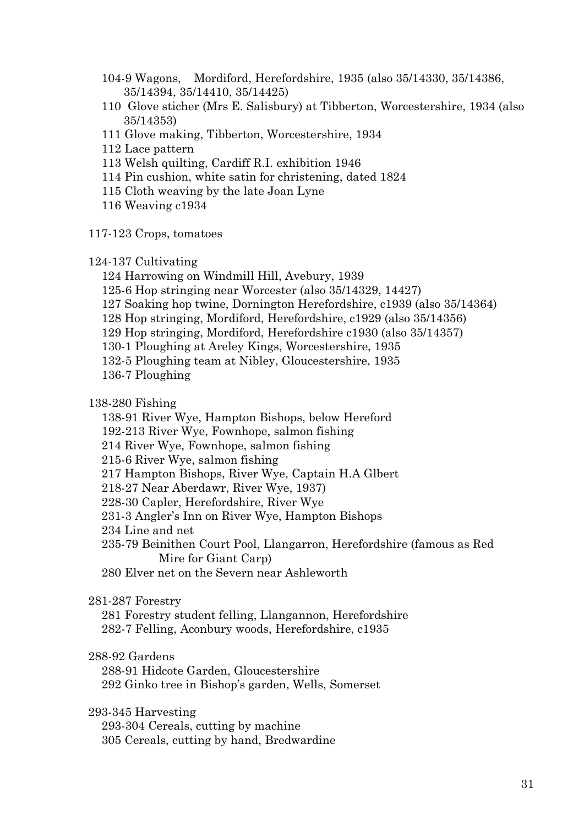- 104-9 Wagons, Mordiford, Herefordshire, 1935 (also 35/14330, 35/14386, 35/14394, 35/14410, 35/14425)
- 110 Glove sticher (Mrs E. Salisbury) at Tibberton, Worcestershire, 1934 (also 35/14353)
- 111 Glove making, Tibberton, Worcestershire, 1934
- 112 Lace pattern
- 113 Welsh quilting, Cardiff R.I. exhibition 1946
- 114 Pin cushion, white satin for christening, dated 1824
- 115 Cloth weaving by the late Joan Lyne
- 116 Weaving c1934
- 117-123 Crops, tomatoes

## 124-137 Cultivating

- 124 Harrowing on Windmill Hill, Avebury, 1939
- 125-6 Hop stringing near Worcester (also 35/14329, 14427)
- 127 Soaking hop twine, Dornington Herefordshire, c1939 (also 35/14364)
- 128 Hop stringing, Mordiford, Herefordshire, c1929 (also 35/14356)
- 129 Hop stringing, Mordiford, Herefordshire c1930 (also 35/14357)
- 130-1 Ploughing at Areley Kings, Worcestershire, 1935

132-5 Ploughing team at Nibley, Gloucestershire, 1935

136-7 Ploughing

138-280 Fishing

- 138-91 River Wye, Hampton Bishops, below Hereford
- 192-213 River Wye, Fownhope, salmon fishing
- 214 River Wye, Fownhope, salmon fishing
- 215-6 River Wye, salmon fishing
- 217 Hampton Bishops, River Wye, Captain H.A Glbert
- 218-27 Near Aberdawr, River Wye, 1937)
- 228-30 Capler, Herefordshire, River Wye
- 231-3 Angler's Inn on River Wye, Hampton Bishops
- 234 Line and net
- 235-79 Beinithen Court Pool, Llangarron, Herefordshire (famous as Red Mire for Giant Carp)
- 280 Elver net on the Severn near Ashleworth

## 281-287 Forestry

281 Forestry student felling, Llangannon, Herefordshire 282-7 Felling, Aconbury woods, Herefordshire, c1935

## 288-92 Gardens

288-91 Hidcote Garden, Gloucestershire 292 Ginko tree in Bishop's garden, Wells, Somerset

293-345 Harvesting

293-304 Cereals, cutting by machine 305 Cereals, cutting by hand, Bredwardine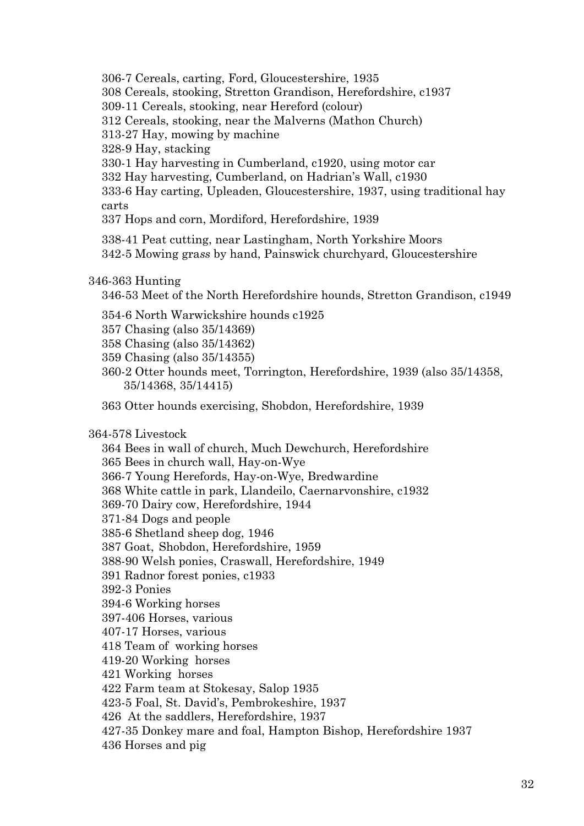306-7 Cereals, carting, Ford, Gloucestershire, 1935

- 308 Cereals, stooking, Stretton Grandison, Herefordshire, c1937
- 309-11 Cereals, stooking, near Hereford (colour)

312 Cereals, stooking, near the Malverns (Mathon Church)

313-27 Hay, mowing by machine

328-9 Hay, stacking

- 330-1 Hay harvesting in Cumberland, c1920, using motor car
- 332 Hay harvesting, Cumberland, on Hadrian's Wall, c1930
- 333-6 Hay carting, Upleaden, Gloucestershire, 1937, using traditional hay carts

337 Hops and corn, Mordiford, Herefordshire, 1939

338-41 Peat cutting, near Lastingham, North Yorkshire Moors 342-5 Mowing gra*ss* by hand, Painswick churchyard, Gloucestershire

# 346-363 Hunting

346-53 Meet of the North Herefordshire hounds, Stretton Grandison, c1949

- 354-6 North Warwickshire hounds c1925
- 357 Chasing (also 35/14369)
- 358 Chasing (also 35/14362)
- 359 Chasing (also 35/14355)
- 360-2 Otter hounds meet, Torrington, Herefordshire, 1939 (also 35/14358, 35/14368, 35/14415)
- 363 Otter hounds exercising, Shobdon, Herefordshire, 1939

364-578 Livestock

364 Bees in wall of church, Much Dewchurch, Herefordshire 365 Bees in church wall, Hay-on-Wye 366-7 Young Herefords, Hay-on-Wye, Bredwardine

368 White cattle in park, Llandeilo, Caernarvonshire, c1932

369-70 Dairy cow, Herefordshire, 1944

- 371-84 Dogs and people
- 385-6 Shetland sheep dog, 1946
- 387 Goat, Shobdon, Herefordshire, 1959
- 388-90 Welsh ponies, Craswall, Herefordshire, 1949
- 391 Radnor forest ponies, c1933
- 392-3 Ponies
- 394-6 Working horses
- 397-406 Horses, various
- 407-17 Horses, various
- 418 Team of working horses
- 419-20 Working horses
- 421 Working horses

422 Farm team at Stokesay, Salop 1935

- 423-5 Foal, St. David's, Pembrokeshire, 1937
- 426 At the saddlers, Herefordshire, 1937
- 427-35 Donkey mare and foal, Hampton Bishop, Herefordshire 1937
- 436 Horses and pig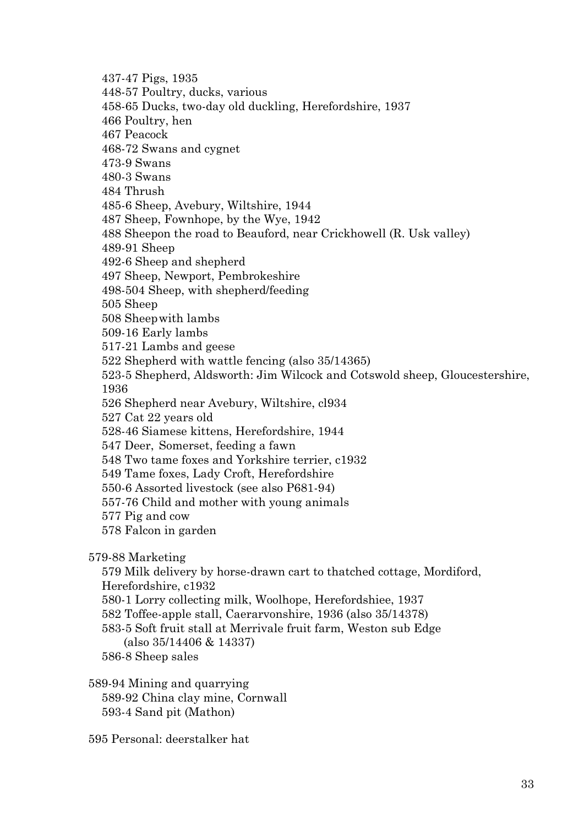437-47 Pigs, 1935 448-57 Poultry, ducks, various 458-65 Ducks, two-day old duckling, Herefordshire, 1937 466 Poultry, hen 467 Peacock 468-72 Swans and cygnet 473-9 Swans 480-3 Swans 484 Thrush 485-6 Sheep, Avebury, Wiltshire, 1944 487 Sheep, Fownhope, by the Wye, 1942 488 Sheepon the road to Beauford, near Crickhowell (R. Usk valley) 489-91 Sheep 492-6 Sheep and shepherd 497 Sheep, Newport, Pembrokeshire 498-504 Sheep, with shepherd/feeding 505 Sheep 508 Sheepwith lambs 509-16 Early lambs 517-21 Lambs and geese 522 Shepherd with wattle fencing (also 35/14365) 523-5 Shepherd, Aldsworth: Jim Wilcock and Cotswold sheep, Gloucestershire, 1936 526 Shepherd near Avebury, Wiltshire, cl934 527 Cat 22 years old 528-46 Siamese kittens, Herefordshire, 1944 547 Deer, Somerset, feeding a fawn 548 Two tame foxes and Yorkshire terrier, c1932 549 Tame foxes, Lady Croft, Herefordshire 550-6 Assorted livestock (see also P681-94) 557-76 Child and mother with young animals 577 Pig and cow 578 Falcon in garden 579-88 Marketing 579 Milk delivery by horse-drawn cart to thatched cottage, Mordiford, Herefordshire, c1932 580-1 Lorry collecting milk, Woolhope, Herefordshiee, 1937 582 Toffee-apple stall, Caerarvonshire, 1936 (also 35/14378)

583-5 Soft fruit stall at Merrivale fruit farm, Weston sub Edge (also 35/14406 & 14337)

586-8 Sheep sales

589-94 Mining and quarrying 589-92 China clay mine, Cornwall 593-4 Sand pit (Mathon)

595 Personal: deerstalker hat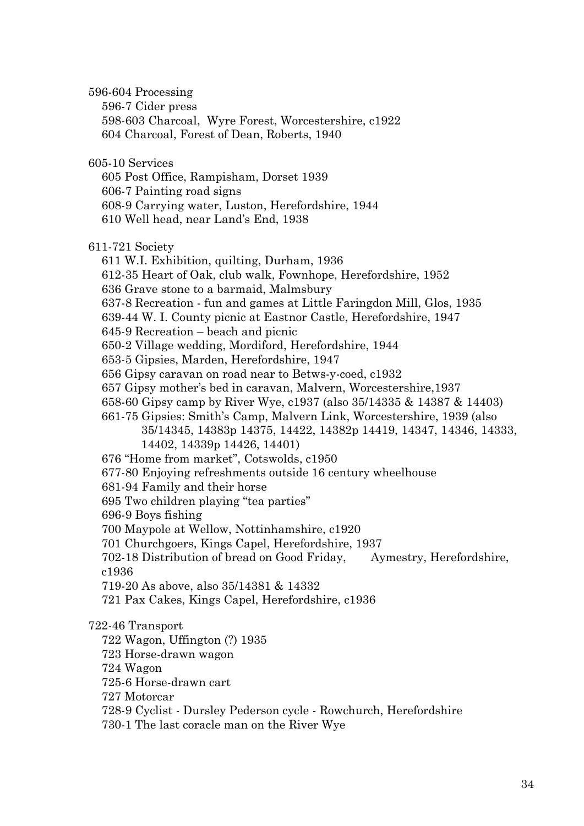596-604 Processing

596-7 Cider press

598-603 Charcoal, Wyre Forest, Worcestershire, c1922 604 Charcoal, Forest of Dean, Roberts, 1940

605-10 Services

605 Post Office, Rampisham, Dorset 1939

606-7 Painting road signs

608-9 Carrying water, Luston, Herefordshire, 1944

610 Well head, near Land's End, 1938

611-721 Society

611 W.I. Exhibition, quilting, Durham, 1936

612-35 Heart of Oak, club walk, Fownhope, Herefordshire, 1952

636 Grave stone to a barmaid, Malmsbury

637-8 Recreation - fun and games at Little Faringdon Mill, Glos, 1935

639-44 W. I. County picnic at Eastnor Castle, Herefordshire, 1947

645-9 Recreation – beach and picnic

650-2 Village wedding, Mordiford, Herefordshire, 1944

653-5 Gipsies, Marden, Herefordshire, 1947

656 Gipsy caravan on road near to Betws-y-coed, c1932

657 Gipsy mother's bed in caravan, Malvern, Worcestershire,1937

658-60 Gipsy camp by River Wye, c1937 (also 35/14335 & 14387 & 14403)

661-75 Gipsies: Smith's Camp, Malvern Link, Worcestershire, 1939 (also

35/14345, 14383p 14375, 14422, 14382p 14419, 14347, 14346, 14333, 14402, 14339p 14426, 14401)

676 "Home from market", Cotswolds, c1950

677-80 Enjoying refreshments outside 16 century wheelhouse

681-94 Family and their horse

695 Two children playing "tea parties"

696-9 Boys fishing

700 Maypole at Wellow, Nottinhamshire, c1920

701 Churchgoers, Kings Capel, Herefordshire, 1937

702-18 Distribution of bread on Good Friday, Aymestry, Herefordshire, c1936

719-20 As above, also 35/14381 & 14332

721 Pax Cakes, Kings Capel, Herefordshire, c1936

# 722-46 Transport

722 Wagon, Uffington (?) 1935

723 Horse-drawn wagon

724 Wagon

725-6 Horse-drawn cart

727 Motorcar

728-9 Cyclist - Dursley Pederson cycle - Rowchurch, Herefordshire

730-1 The last coracle man on the River Wye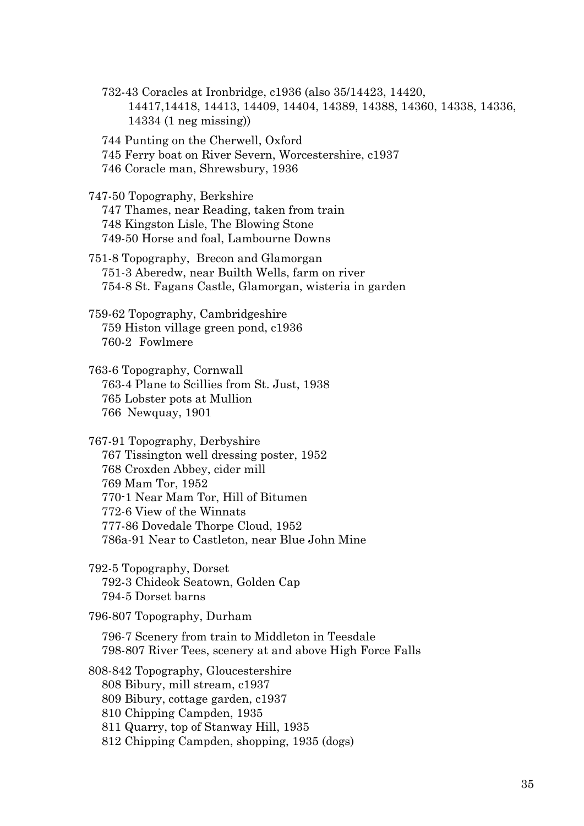732-43 Coracles at Ironbridge, c1936 (also 35/14423, 14420, 14417,14418, 14413, 14409, 14404, 14389, 14388, 14360, 14338, 14336, 14334 (1 neg missing))

744 Punting on the Cherwell, Oxford

745 Ferry boat on River Severn, Worcestershire, c1937

746 Coracle man, Shrewsbury, 1936

747-50 Topography, Berkshire

747 Thames, near Reading, taken from train 748 Kingston Lisle, The Blowing Stone 749-50 Horse and foal, Lambourne Downs

751-8 Topography, Brecon and Glamorgan 751-3 Aberedw, near Builth Wells, farm on river 754-8 St. Fagans Castle, Glamorgan, wisteria in garden

759-62 Topography, Cambridgeshire 759 Histon village green pond, c1936 760-2 Fowlmere

763-6 Topography, Cornwall 763-4 Plane to Scillies from St. Just, 1938 765 Lobster pots at Mullion 766 Newquay, 1901

767-91 Topography, Derbyshire 767 Tissington well dressing poster, 1952 768 Croxden Abbey, cider mill 769 Mam Tor, 1952 770-1 Near Mam Tor, Hill of Bitumen 772-6 View of the Winnats 777-86 Dovedale Thorpe Cloud, 1952 786a-91 Near to Castleton, near Blue John Mine

792-5 Topography, Dorset 792-3 Chideok Seatown, Golden Cap 794-5 Dorset barns

796-807 Topography, Durham

796-7 Scenery from train to Middleton in Teesdale 798-807 River Tees, scenery at and above High Force Falls

808-842 Topography, Gloucestershire

808 Bibury, mill stream, c1937

809 Bibury, cottage garden, c1937

810 Chipping Campden, 1935

811 Quarry, top of Stanway Hill, 1935

812 Chipping Campden, shopping, 1935 (dogs)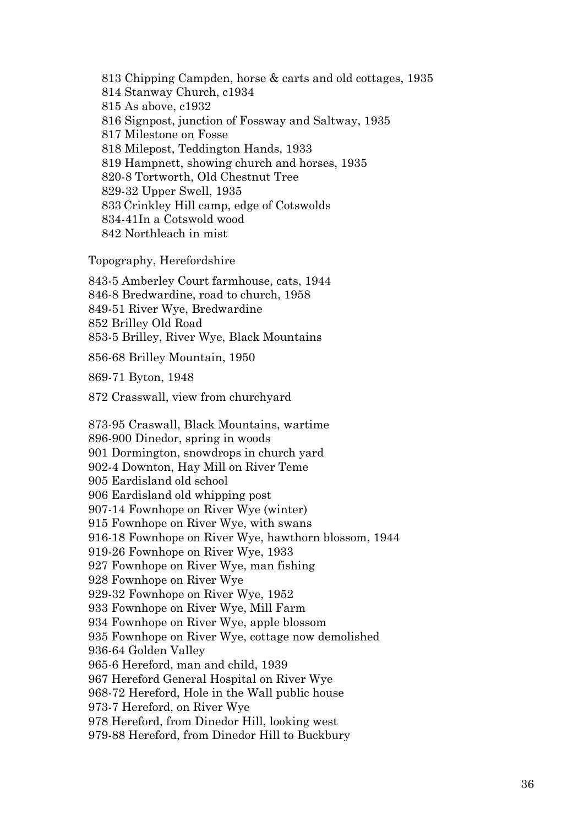813 Chipping Campden, horse & carts and old cottages, 1935 814 Stanway Church, c1934 815 As above, c1932 816 Signpost, junction of Fossway and Saltway, 1935 817 Milestone on Fosse 818 Milepost, Teddington Hands, 1933 819 Hampnett, showing church and horses, 1935 820-8 Tortworth, Old Chestnut Tree 829-32 Upper Swell, 1935 833 Crinkley Hill camp, edge of Cotswolds 834-41In a Cotswold wood 842 Northleach in mist

Topography, Herefordshire

843-5 Amberley Court farmhouse, cats, 1944 846-8 Bredwardine, road to church, 1958 849-51 River Wye, Bredwardine 852 Brilley Old Road 853-5 Brilley, River Wye, Black Mountains

856-68 Brilley Mountain, 1950

869-71 Byton, 1948

872 Crasswall, view from churchyard

873-95 Craswall, Black Mountains, wartime 896-900 Dinedor, spring in woods 901 Dormington, snowdrops in church yard 902-4 Downton, Hay Mill on River Teme 905 Eardisland old school 906 Eardisland old whipping post 907-14 Fownhope on River Wye (winter) 915 Fownhope on River Wye, with swans 916-18 Fownhope on River Wye, hawthorn blossom, 1944 919-26 Fownhope on River Wye, 1933 927 Fownhope on River Wye, man fishing 928 Fownhope on River Wye 929-32 Fownhope on River Wye, 1952 933 Fownhope on River Wye, Mill Farm 934 Fownhope on River Wye, apple blossom 935 Fownhope on River Wye, cottage now demolished 936-64 Golden Valley 965-6 Hereford, man and child, 1939 967 Hereford General Hospital on River Wye 968-72 Hereford, Hole in the Wall public house 973-7 Hereford, on River Wye 978 Hereford, from Dinedor Hill, looking west 979-88 Hereford, from Dinedor Hill to Buckbury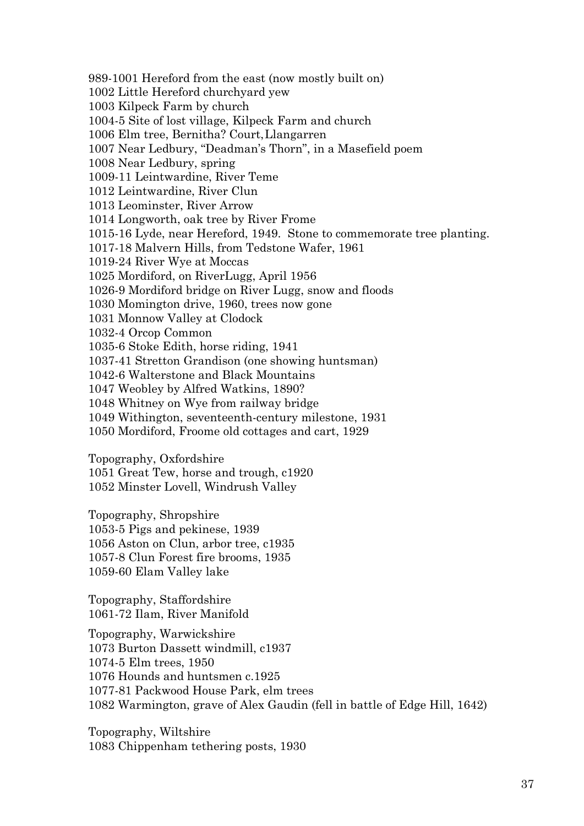989-1001 Hereford from the east (now mostly built on) 1002 Little Hereford churchyard yew 1003 Kilpeck Farm by church 1004-5 Site of lost village, Kilpeck Farm and church 1006 Elm tree, Bernitha? Court,Llangarren 1007 Near Ledbury, "Deadman's Thorn", in a Masefield poem 1008 Near Ledbury, spring 1009-11 Leintwardine, River Teme 1012 Leintwardine, River Clun 1013 Leominster, River Arrow 1014 Longworth, oak tree by River Frome 1015-16 Lyde, near Hereford, 1949. Stone to commemorate tree planting. 1017-18 Malvern Hills, from Tedstone Wafer, 1961 1019-24 River Wye at Moccas 1025 Mordiford, on RiverLugg, April 1956 1026-9 Mordiford bridge on River Lugg, snow and floods 1030 Momington drive, 1960, trees now gone 1031 Monnow Valley at Clodock 1032-4 Orcop Common 1035-6 Stoke Edith, horse riding, 1941 1037-41 Stretton Grandison (one showing huntsman) 1042-6 Walterstone and Black Mountains 1047 Weobley by Alfred Watkins, 1890? 1048 Whitney on Wye from railway bridge 1049 Withington, seventeenth-century milestone, 1931 1050 Mordiford, Froome old cottages and cart, 1929

Topography, Oxfordshire

1051 Great Tew, horse and trough, c1920 1052 Minster Lovell, Windrush Valley

Topography, Shropshire 1053-5 Pigs and pekinese, 1939 1056 Aston on Clun, arbor tree, c1935 1057-8 Clun Forest fire brooms, 1935 1059-60 Elam Valley lake

Topography, Staffordshire 1061-72 Ilam, River Manifold

Topography, Warwickshire 1073 Burton Dassett windmill, c1937 1074-5 Elm trees, 1950 1076 Hounds and huntsmen c.1925 1077-81 Packwood House Park, elm trees 1082 Warmington, grave of Alex Gaudin (fell in battle of Edge Hill, 1642)

Topography, Wiltshire 1083 Chippenham tethering posts, 1930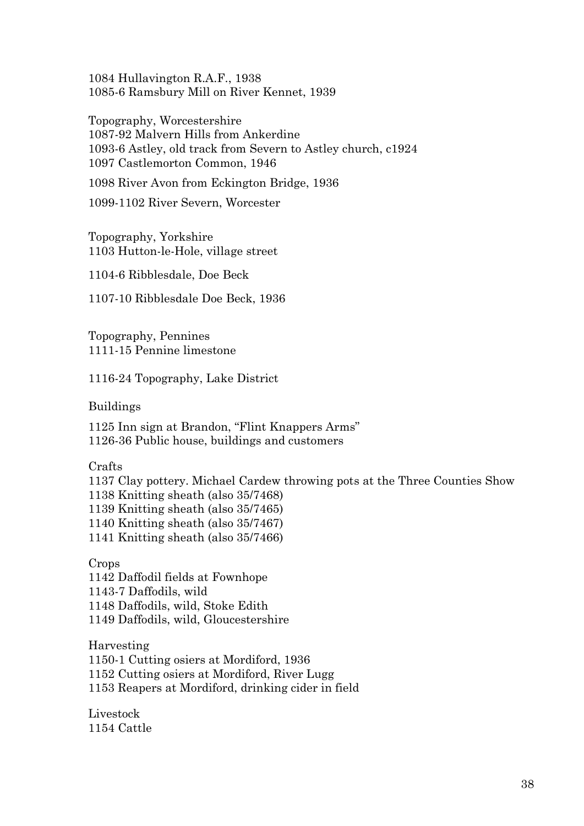1084 Hullavington R.A.F., 1938 1085-6 Ramsbury Mill on River Kennet, 1939

Topography, Worcestershire 1087-92 Malvern Hills from Ankerdine 1093-6 Astley, old track from Severn to Astley church, c1924 1097 Castlemorton Common, 1946

1098 River Avon from Eckington Bridge, 1936

1099-1102 River Severn, Worcester

Topography, Yorkshire 1103 Hutton-le-Hole, village street

1104-6 Ribblesdale, Doe Beck

1107-10 Ribblesdale Doe Beck, 1936

Topography, Pennines 1111-15 Pennine limestone

1116-24 Topography, Lake District

Buildings

1125 Inn sign at Brandon, "Flint Knappers Arms" 1126-36 Public house, buildings and customers

Crafts

1137 Clay pottery. Michael Cardew throwing pots at the Three Counties Show 1138 Knitting sheath (also 35/7468) 1139 Knitting sheath (also 35/7465) 1140 Knitting sheath (also 35/7467) 1141 Knitting sheath (also 35/7466)

Crops 1142 Daffodil fields at Fownhope 1143-7 Daffodils, wild 1148 Daffodils, wild, Stoke Edith 1149 Daffodils, wild, Gloucestershire

Harvesting 1150-1 Cutting osiers at Mordiford, 1936 1152 Cutting osiers at Mordiford, River Lugg 1153 Reapers at Mordiford, drinking cider in field

Livestock 1154 Cattle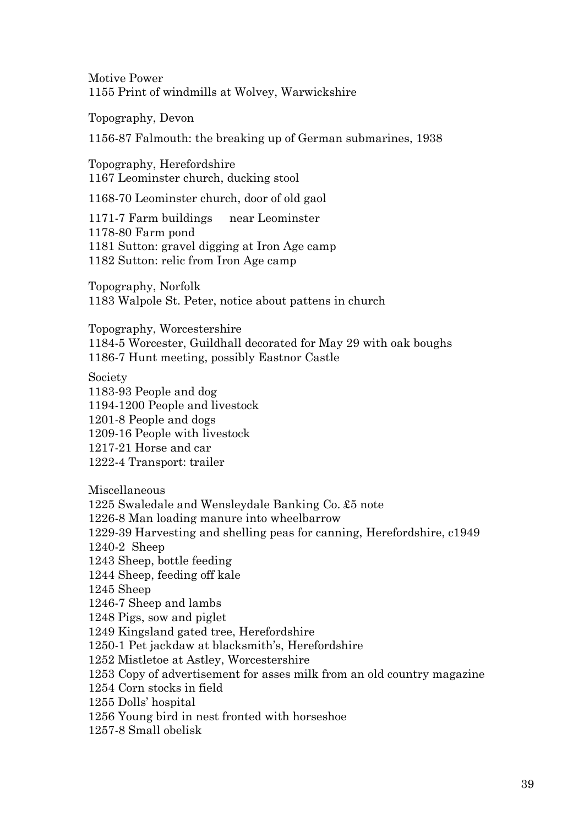Motive Power 1155 Print of windmills at Wolvey, Warwickshire

Topography, Devon

1156-87 Falmouth: the breaking up of German submarines, 1938

Topography, Herefordshire 1167 Leominster church, ducking stool

1168-70 Leominster church, door of old gaol

1171-7 Farm buildings near Leominster 1178-80 Farm pond 1181 Sutton: gravel digging at Iron Age camp 1182 Sutton: relic from Iron Age camp

Topography, Norfolk 1183 Walpole St. Peter, notice about pattens in church

Topography, Worcestershire 1184-5 Worcester, Guildhall decorated for May 29 with oak boughs 1186-7 Hunt meeting, possibly Eastnor Castle

Society

1183-93 People and dog 1194-1200 People and livestock 1201-8 People and dogs 1209-16 People with livestock 1217-21 Horse and car 1222-4 Transport: trailer

Miscellaneous 1225 Swaledale and Wensleydale Banking Co. £5 note 1226-8 Man loading manure into wheelbarrow 1229-39 Harvesting and shelling peas for canning, Herefordshire, c1949 1240-2 Sheep 1243 Sheep, bottle feeding 1244 Sheep, feeding off kale 1245 Sheep 1246-7 Sheep and lambs 1248 Pigs, sow and piglet 1249 Kingsland gated tree, Herefordshire 1250-1 Pet jackdaw at blacksmith's, Herefordshire 1252 Mistletoe at Astley, Worcestershire 1253 Copy of advertisement for asses milk from an old country magazine 1254 Corn stocks in field 1255 Dolls' hospital 1256 Young bird in nest fronted with horseshoe 1257-8 Small obelisk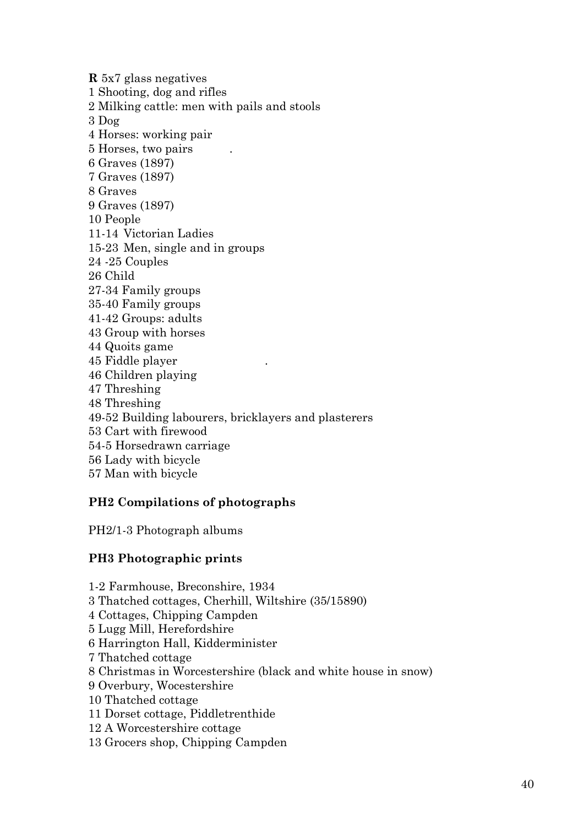**R** 5x7 glass negatives 1 Shooting, dog and rifles 2 Milking cattle: men with pails and stools 3 Dog 4 Horses: working pair 5 Horses, two pairs . 6 Graves (1897) 7 Graves (1897) 8 Graves 9 Graves (1897) 10 People 11-14 Victorian Ladies 15-23 Men, single and in groups 24 -25 Couples 26 Child 27-34 Family groups 35-40 Family groups 41-42 Groups: adults 43 Group with horses 44 Quoits game 45 Fiddle player . 46 Children playing 47 Threshing 48 Threshing 49-52 Building labourers, bricklayers and plasterers 53 Cart with firewood 54-5 Horsedrawn carriage 56 Lady with bicycle 57 Man with bicycle

# **PH2 Compilations of photographs**

PH2/1-3 Photograph albums

# **PH3 Photographic prints**

1-2 Farmhouse, Breconshire, 1934 3 Thatched cottages, Cherhill, Wiltshire (35/15890) 4 Cottages, Chipping Campden 5 Lugg Mill, Herefordshire 6 Harrington Hall, Kidderminister 7 Thatched cottage 8 Christmas in Worcestershire (black and white house in snow) 9 Overbury, Wocestershire 10 Thatched cottage 11 Dorset cottage, Piddletrenthide 12 A Worcestershire cottage 13 Grocers shop, Chipping Campden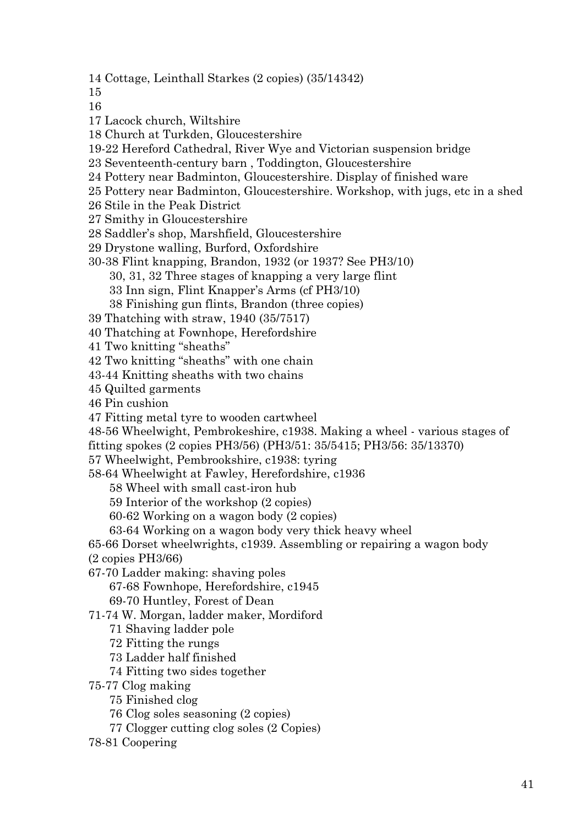14 Cottage, Leinthall Starkes (2 copies) (35/14342)

15

16

- 17 Lacock church, Wiltshire
- 18 Church at Turkden, Gloucestershire
- 19-22 Hereford Cathedral, River Wye and Victorian suspension bridge
- 23 Seventeenth-century barn , Toddington, Gloucestershire
- 24 Pottery near Badminton, Gloucestershire. Display of finished ware
- 25 Pottery near Badminton, Gloucestershire. Workshop, with jugs, etc in a shed
- 26 Stile in the Peak District
- 27 Smithy in Gloucestershire
- 28 Saddler's shop, Marshfield, Gloucestershire
- 29 Drystone walling, Burford, Oxfordshire
- 30-38 Flint knapping, Brandon, 1932 (or 1937? See PH3/10)

30, 31, 32 Three stages of knapping a very large flint

- 33 Inn sign, Flint Knapper's Arms (cf PH3/10)
- 38 Finishing gun flints, Brandon (three copies)
- 39 Thatching with straw, 1940 (35/7517)
- 40 Thatching at Fownhope, Herefordshire
- 41 Two knitting "sheaths"
- 42 Two knitting "sheaths" with one chain
- 43-44 Knitting sheaths with two chains
- 45 Quilted garments
- 46 Pin cushion
- 47 Fitting metal tyre to wooden cartwheel
- 48-56 Wheelwight, Pembrokeshire, c1938. Making a wheel various stages of
- fitting spokes (2 copies PH3/56) (PH3/51: 35/5415; PH3/56: 35/13370)
- 57 Wheelwight, Pembrookshire, c1938: tyring
- 58-64 Wheelwight at Fawley, Herefordshire, c1936
	- 58 Wheel with small cast-iron hub
	- 59 Interior of the workshop (2 copies)
	- 60-62 Working on a wagon body (2 copies)
	- 63-64 Working on a wagon body very thick heavy wheel

65-66 Dorset wheelwrights, c1939. Assembling or repairing a wagon body (2 copies PH3/66)

- 67-70 Ladder making: shaving poles
	- 67-68 Fownhope, Herefordshire, c1945
	- 69-70 Huntley, Forest of Dean
- 71-74 W. Morgan, ladder maker, Mordiford
	- 71 Shaving ladder pole
	- 72 Fitting the rungs
	- 73 Ladder half finished
	- 74 Fitting two sides together
- 75-77 Clog making
	- 75 Finished clog
	- 76 Clog soles seasoning (2 copies)
	- 77 Clogger cutting clog soles (2 Copies)
- 78-81 Coopering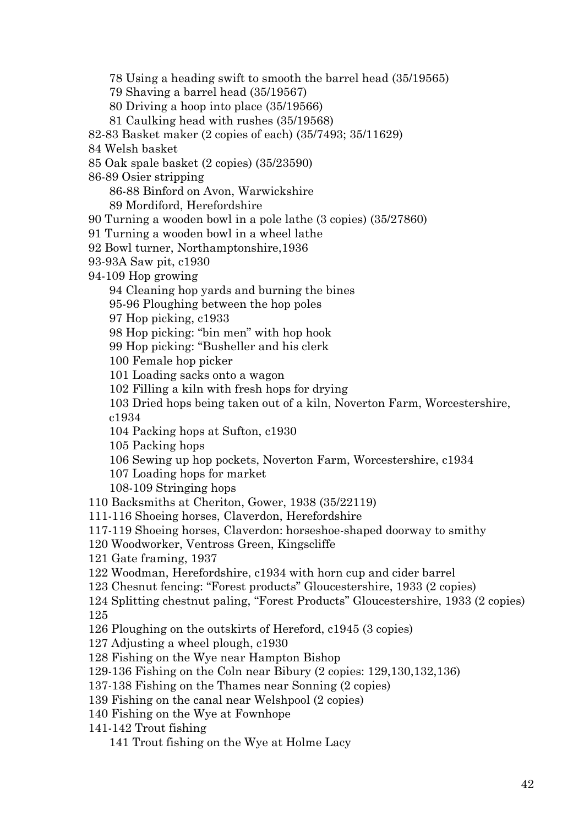78 Using a heading swift to smooth the barrel head (35/19565)

79 Shaving a barrel head (35/19567)

80 Driving a hoop into place (35/19566)

81 Caulking head with rushes (35/19568)

82-83 Basket maker (2 copies of each) (35/7493; 35/11629)

- 84 Welsh basket
- 85 Oak spale basket (2 copies) (35/23590)
- 86-89 Osier stripping

86-88 Binford on Avon, Warwickshire

89 Mordiford, Herefordshire

90 Turning a wooden bowl in a pole lathe (3 copies) (35/27860)

91 Turning a wooden bowl in a wheel lathe

92 Bowl turner, Northamptonshire,1936

- 93-93A Saw pit, c1930
- 94-109 Hop growing

94 Cleaning hop yards and burning the bines

95-96 Ploughing between the hop poles

97 Hop picking, c1933

98 Hop picking: "bin men" with hop hook

99 Hop picking: "Busheller and his clerk

100 Female hop picker

101 Loading sacks onto a wagon

102 Filling a kiln with fresh hops for drying

103 Dried hops being taken out of a kiln, Noverton Farm, Worcestershire, c1934

104 Packing hops at Sufton, c1930

105 Packing hops

106 Sewing up hop pockets, Noverton Farm, Worcestershire, c1934

107 Loading hops for market

108-109 Stringing hops

110 Backsmiths at Cheriton, Gower, 1938 (35/22119)

111-116 Shoeing horses, Claverdon, Herefordshire

117-119 Shoeing horses, Claverdon: horseshoe-shaped doorway to smithy

120 Woodworker, Ventross Green, Kingscliffe

121 Gate framing, 1937

122 Woodman, Herefordshire, c1934 with horn cup and cider barrel

123 Chesnut fencing: "Forest products" Gloucestershire, 1933 (2 copies)

124 Splitting chestnut paling, "Forest Products" Gloucestershire, 1933 (2 copies) 125

126 Ploughing on the outskirts of Hereford, c1945 (3 copies)

127 Adjusting a wheel plough, c1930

128 Fishing on the Wye near Hampton Bishop

129-136 Fishing on the Coln near Bibury (2 copies: 129,130,132,136)

137-138 Fishing on the Thames near Sonning (2 copies)

139 Fishing on the canal near Welshpool (2 copies)

140 Fishing on the Wye at Fownhope

141-142 Trout fishing

141 Trout fishing on the Wye at Holme Lacy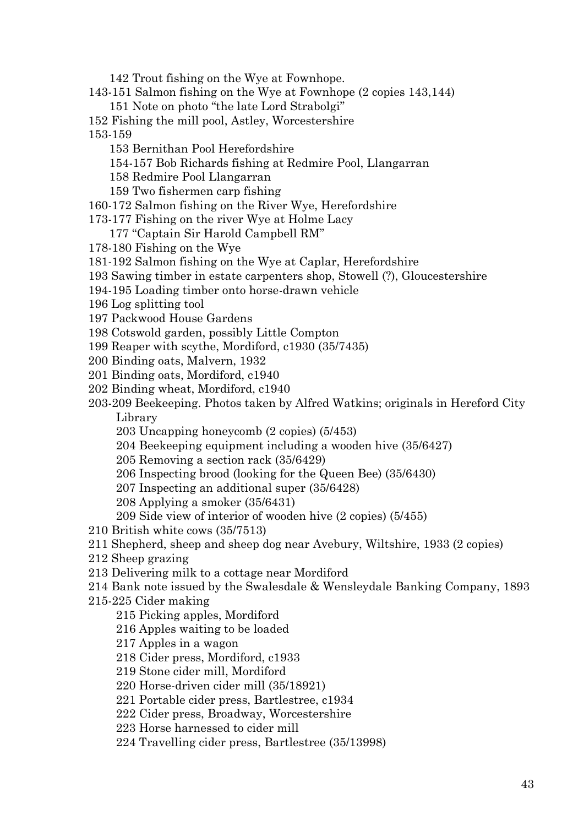142 Trout fishing on the Wye at Fownhope.

- 143-151 Salmon fishing on the Wye at Fownhope (2 copies 143,144)
	- 151 Note on photo "the late Lord Strabolgi"
- 152 Fishing the mill pool, Astley, Worcestershire 153-159
	- 153 Bernithan Pool Herefordshire
	- 154-157 Bob Richards fishing at Redmire Pool, Llangarran
	- 158 Redmire Pool Llangarran
	- 159 Two fishermen carp fishing
- 160-172 Salmon fishing on the River Wye, Herefordshire
- 173-177 Fishing on the river Wye at Holme Lacy
	- 177 "Captain Sir Harold Campbell RM"
- 178-180 Fishing on the Wye
- 181-192 Salmon fishing on the Wye at Caplar, Herefordshire
- 193 Sawing timber in estate carpenters shop, Stowell (?), Gloucestershire
- 194-195 Loading timber onto horse-drawn vehicle
- 196 Log splitting tool
- 197 Packwood House Gardens
- 198 Cotswold garden, possibly Little Compton
- 199 Reaper with scythe, Mordiford, c1930 (35/7435)
- 200 Binding oats, Malvern, 1932
- 201 Binding oats, Mordiford, c1940
- 202 Binding wheat, Mordiford, c1940
- 203-209 Beekeeping. Photos taken by Alfred Watkins; originals in Hereford City Library
	- 203 Uncapping honeycomb (2 copies) (5/453)
	- 204 Beekeeping equipment including a wooden hive (35/6427)
	- 205 Removing a section rack (35/6429)
	- 206 Inspecting brood (looking for the Queen Bee) (35/6430)
	- 207 Inspecting an additional super (35/6428)
	- 208 Applying a smoker (35/6431)
	- 209 Side view of interior of wooden hive (2 copies) (5/455)
- 210 British white cows (35/7513)
- 211 Shepherd, sheep and sheep dog near Avebury, Wiltshire, 1933 (2 copies)
- 212 Sheep grazing
- 213 Delivering milk to a cottage near Mordiford
- 214 Bank note issued by the Swalesdale & Wensleydale Banking Company, 1893
- 215-225 Cider making
	- 215 Picking apples, Mordiford
	- 216 Apples waiting to be loaded
	- 217 Apples in a wagon
	- 218 Cider press, Mordiford, c1933
	- 219 Stone cider mill, Mordiford
	- 220 Horse-driven cider mill (35/18921)
	- 221 Portable cider press, Bartlestree, c1934
	- 222 Cider press, Broadway, Worcestershire
	- 223 Horse harnessed to cider mill
	- 224 Travelling cider press, Bartlestree (35/13998)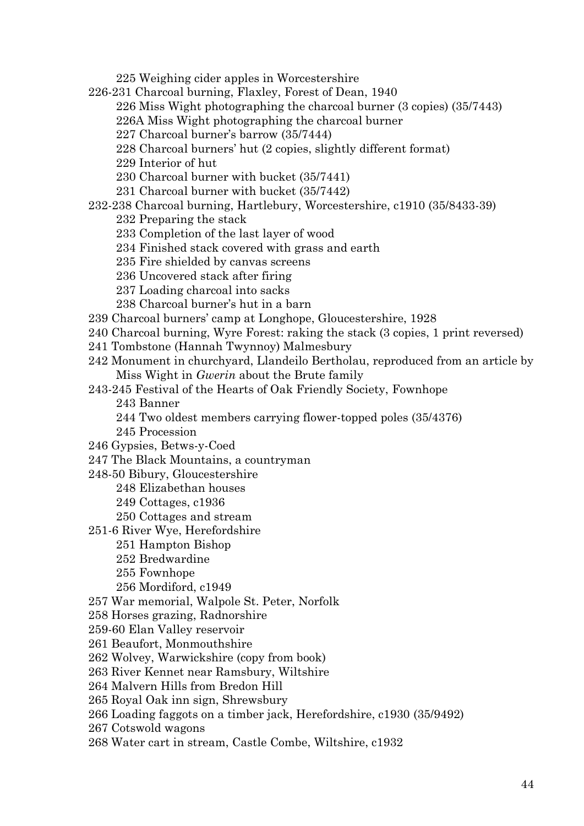225 Weighing cider apples in Worcestershire 226-231 Charcoal burning, Flaxley, Forest of Dean, 1940 226 Miss Wight photographing the charcoal burner (3 copies) (35/7443) 226A Miss Wight photographing the charcoal burner 227 Charcoal burner's barrow (35/7444) 228 Charcoal burners' hut (2 copies, slightly different format) 229 Interior of hut 230 Charcoal burner with bucket (35/7441) 231 Charcoal burner with bucket (35/7442) 232-238 Charcoal burning, Hartlebury, Worcestershire, c1910 (35/8433-39) 232 Preparing the stack 233 Completion of the last layer of wood 234 Finished stack covered with grass and earth 235 Fire shielded by canvas screens 236 Uncovered stack after firing 237 Loading charcoal into sacks 238 Charcoal burner's hut in a barn 239 Charcoal burners' camp at Longhope, Gloucestershire, 1928 240 Charcoal burning, Wyre Forest: raking the stack (3 copies, 1 print reversed) 241 Tombstone (Hannah Twynnoy) Malmesbury 242 Monument in churchyard, Llandeilo Bertholau, reproduced from an article by Miss Wight in *Gwerin* about the Brute family 243-245 Festival of the Hearts of Oak Friendly Society, Fownhope 243 Banner 244 Two oldest members carrying flower-topped poles (35/4376) 245 Procession 246 Gypsies, Betws-y-Coed 247 The Black Mountains, a countryman 248-50 Bibury, Gloucestershire 248 Elizabethan houses 249 Cottages, c1936 250 Cottages and stream 251-6 River Wye, Herefordshire 251 Hampton Bishop 252 Bredwardine 255 Fownhope 256 Mordiford, c1949 257 War memorial, Walpole St. Peter, Norfolk 258 Horses grazing, Radnorshire 259-60 Elan Valley reservoir 261 Beaufort, Monmouthshire 262 Wolvey, Warwickshire (copy from book) 263 River Kennet near Ramsbury, Wiltshire 264 Malvern Hills from Bredon Hill 265 Royal Oak inn sign, Shrewsbury 266 Loading faggots on a timber jack, Herefordshire, c1930 (35/9492)

- 267 Cotswold wagons
- 268 Water cart in stream, Castle Combe, Wiltshire, c1932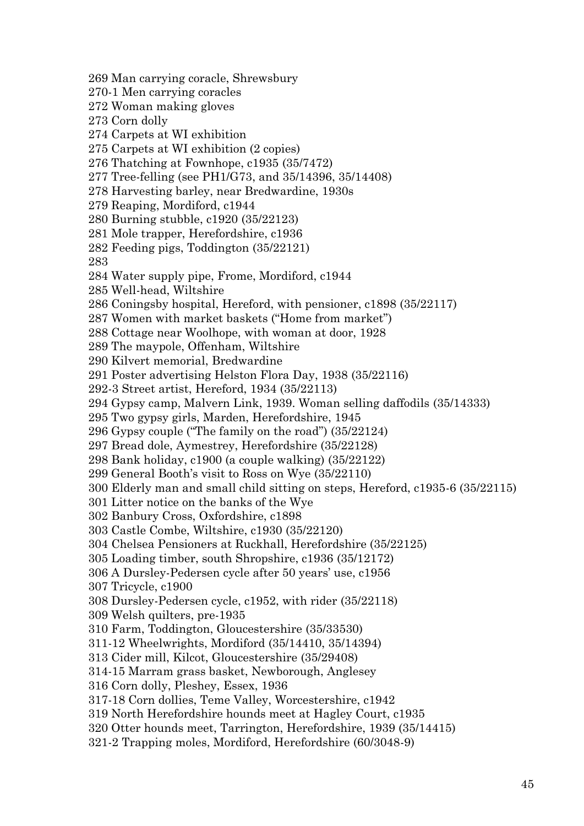269 Man carrying coracle, Shrewsbury 270-1 Men carrying coracles 272 Woman making gloves 273 Corn dolly 274 Carpets at WI exhibition 275 Carpets at WI exhibition (2 copies) 276 Thatching at Fownhope, c1935 (35/7472) 277 Tree-felling (see PH1/G73, and 35/14396, 35/14408) 278 Harvesting barley, near Bredwardine, 1930s 279 Reaping, Mordiford, c1944 280 Burning stubble, c1920 (35/22123) 281 Mole trapper, Herefordshire, c1936 282 Feeding pigs, Toddington (35/22121) 283 284 Water supply pipe, Frome, Mordiford, c1944 285 Well-head, Wiltshire 286 Coningsby hospital, Hereford, with pensioner, c1898 (35/22117) 287 Women with market baskets ("Home from market") 288 Cottage near Woolhope, with woman at door, 1928 289 The maypole, Offenham, Wiltshire 290 Kilvert memorial, Bredwardine 291 Poster advertising Helston Flora Day, 1938 (35/22116) 292-3 Street artist, Hereford, 1934 (35/22113) 294 Gypsy camp, Malvern Link, 1939. Woman selling daffodils (35/14333) 295 Two gypsy girls, Marden, Herefordshire, 1945 296 Gypsy couple ("The family on the road") (35/22124) 297 Bread dole, Aymestrey, Herefordshire (35/22128) 298 Bank holiday, c1900 (a couple walking) (35/22122) 299 General Booth's visit to Ross on Wye (35/22110) 300 Elderly man and small child sitting on steps, Hereford, c1935-6 (35/22115) 301 Litter notice on the banks of the Wye 302 Banbury Cross, Oxfordshire, c1898 303 Castle Combe, Wiltshire, c1930 (35/22120) 304 Chelsea Pensioners at Ruckhall, Herefordshire (35/22125) 305 Loading timber, south Shropshire, c1936 (35/12172) 306 A Dursley-Pedersen cycle after 50 years' use, c1956 307 Tricycle, c1900 308 Dursley-Pedersen cycle, c1952, with rider (35/22118) 309 Welsh quilters, pre-1935 310 Farm, Toddington, Gloucestershire (35/33530) 311-12 Wheelwrights, Mordiford (35/14410, 35/14394) 313 Cider mill, Kilcot, Gloucestershire (35/29408) 314-15 Marram grass basket, Newborough, Anglesey 316 Corn dolly, Pleshey, Essex, 1936 317-18 Corn dollies, Teme Valley, Worcestershire, c1942 319 North Herefordshire hounds meet at Hagley Court, c1935 320 Otter hounds meet, Tarrington, Herefordshire, 1939 (35/14415) 321-2 Trapping moles, Mordiford, Herefordshire (60/3048-9)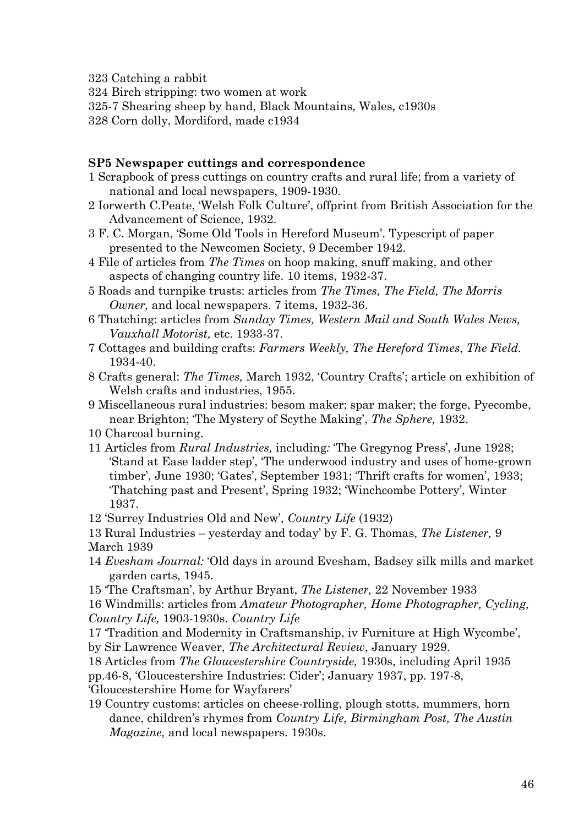323 Catching a rabbit

324 Birch stripping: two women at work

325-7 Shearing sheep by hand, Black Mountains, Wales, c1930s

328 Corn dolly, Mordiford, made c1934

# **SP5 Newspaper cuttings and correspondence**

- 1 Scrapbook of press cuttings on country crafts and rural life; from a variety of national and local newspapers, 1909-1930.
- 2 Iorwerth C.Peate, 'Welsh Folk Culture', offprint from British Association for the Advancement of Science, 1932.
- 3 F. C. Morgan, 'Some Old Tools in Hereford Museum'. Typescript of paper presented to the Newcomen Society, 9 December 1942.
- 4 File of articles from *The Times* on hoop making, snuff making, and other aspects of changing country life. 10 items, 1932-37.
- 5 Roads and turnpike trusts: articles from *The Times, The Field, The Morris Owner,* and local newspapers. 7 items, 1932-36.
- 6 Thatching: articles from *Sunday Times, Western Mail and South Wales News, Vauxhall Motorist,* etc. 1933-37.
- 7 Cottages and building crafts: *Farmers Weekly, The Hereford Times*, *The Field.* 1934-40.
- 8 Crafts general: *The Times,* March 1932, 'Country Crafts'; article on exhibition of Welsh crafts and industries, 1955.
- 9 Miscellaneous rural industries: besom maker; spar maker; the forge, Pyecombe, near Brighton; 'The Mystery of Scythe Making', *The Sphere,* 1932.
- 10 Charcoal burning.
- 11 Articles from *Rural Industries,* including*:* 'The Gregynog Press', June 1928; 'Stand at Ease ladder step', 'The underwood industry and uses of home-grown timber', June 1930; 'Gates', September 1931; 'Thrift crafts for women', 1933; 'Thatching past and Present', Spring 1932; 'Winchcombe Pottery', Winter 1937.
- 12 'Surrey Industries Old and New', *Country Life* (1932)
- 13 Rural Industries yesterday and today' by F. G. Thomas, *The Listener,* 9 March 1939
- 14 *Evesham Journal:* 'Old days in around Evesham, Badsey silk mills and market garden carts, 1945.
- 15 'The Craftsman', by Arthur Bryant, *The Listener,* 22 November 1933
- 16 Windmills: articles from *Amateur Photographer, Home Photographer, Cycling,*

*Country Life,* 1903-1930s. *Country Life*

- 17 'Tradition and Modernity in Craftsmanship, iv Furniture at High Wycombe',
- by Sir Lawrence Weaver, *The Architectural Review*, January 1929.
- 18 Articles from *The Gloucestershire Countryside,* 1930s, including April 1935
- pp.46-8, 'Gloucestershire Industries: Cider'; January 1937, pp. 197-8,
- 'Gloucestershire Home for Wayfarers'
- 19 Country customs: articles on cheese-rolling, plough stotts, mummers, horn dance, children's rhymes from *Country Life, Birmingham Post, The Austin Magazine,* and local newspapers. 1930s.